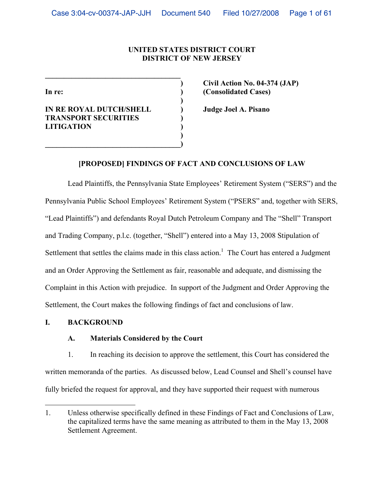# **UNITED STATES DISTRICT COURT DISTRICT OF NEW JERSEY**

**IN RE ROYAL DUTCH/SHELL ) Judge Joel A. Pisano TRANSPORT SECURITIES ) LITIGATION ) )** 

**\_\_\_\_\_\_\_\_\_\_\_\_\_\_\_\_\_\_\_\_\_\_\_\_\_\_\_\_\_\_\_\_\_\_\_\_** 

 **)** 

**\_\_\_\_\_\_\_\_\_\_\_\_\_\_\_\_\_\_\_\_\_\_\_\_\_\_\_\_\_\_\_\_\_\_\_\_)** 

 **) Civil Action No. 04-374 (JAP) In re: ) (Consolidated Cases)** 

# **[PROPOSED] FINDINGS OF FACT AND CONCLUSIONS OF LAW**

Lead Plaintiffs, the Pennsylvania State Employees' Retirement System ("SERS") and the Pennsylvania Public School Employees' Retirement System ("PSERS" and, together with SERS, "Lead Plaintiffs") and defendants Royal Dutch Petroleum Company and The "Shell" Transport and Trading Company, p.l.c. (together, "Shell") entered into a May 13, 2008 Stipulation of Settlement that settles the claims made in this class action.<sup>1</sup> The Court has entered a Judgment and an Order Approving the Settlement as fair, reasonable and adequate, and dismissing the Complaint in this Action with prejudice. In support of the Judgment and Order Approving the Settlement, the Court makes the following findings of fact and conclusions of law.

### **I. BACKGROUND**

1

### **A. Materials Considered by the Court**

1. In reaching its decision to approve the settlement, this Court has considered the written memoranda of the parties. As discussed below, Lead Counsel and Shell's counsel have fully briefed the request for approval, and they have supported their request with numerous

<sup>1.</sup> Unless otherwise specifically defined in these Findings of Fact and Conclusions of Law, the capitalized terms have the same meaning as attributed to them in the May 13, 2008 Settlement Agreement.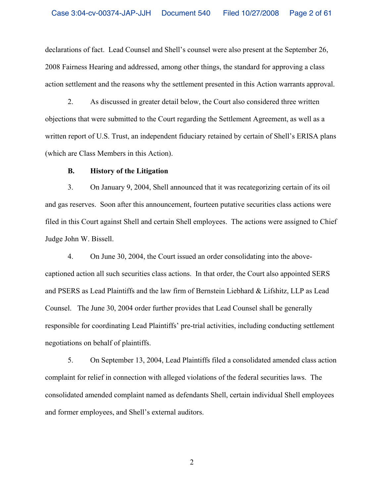declarations of fact. Lead Counsel and Shell's counsel were also present at the September 26, 2008 Fairness Hearing and addressed, among other things, the standard for approving a class action settlement and the reasons why the settlement presented in this Action warrants approval.

2. As discussed in greater detail below, the Court also considered three written objections that were submitted to the Court regarding the Settlement Agreement, as well as a written report of U.S. Trust, an independent fiduciary retained by certain of Shell's ERISA plans (which are Class Members in this Action).

#### **B. History of the Litigation**

3. On January 9, 2004, Shell announced that it was recategorizing certain of its oil and gas reserves. Soon after this announcement, fourteen putative securities class actions were filed in this Court against Shell and certain Shell employees. The actions were assigned to Chief Judge John W. Bissell.

4. On June 30, 2004, the Court issued an order consolidating into the abovecaptioned action all such securities class actions. In that order, the Court also appointed SERS and PSERS as Lead Plaintiffs and the law firm of Bernstein Liebhard & Lifshitz, LLP as Lead Counsel. The June 30, 2004 order further provides that Lead Counsel shall be generally responsible for coordinating Lead Plaintiffs' pre-trial activities, including conducting settlement negotiations on behalf of plaintiffs.

5. On September 13, 2004, Lead Plaintiffs filed a consolidated amended class action complaint for relief in connection with alleged violations of the federal securities laws. The consolidated amended complaint named as defendants Shell, certain individual Shell employees and former employees, and Shell's external auditors.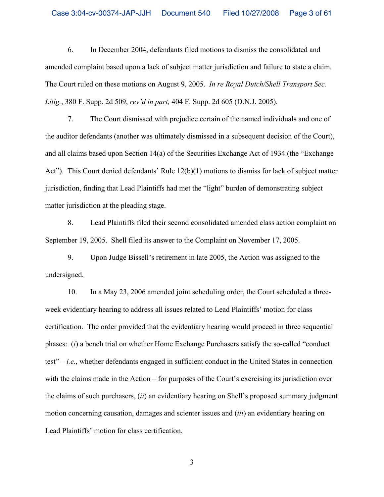6. In December 2004, defendants filed motions to dismiss the consolidated and amended complaint based upon a lack of subject matter jurisdiction and failure to state a claim. The Court ruled on these motions on August 9, 2005. *In re Royal Dutch/Shell Transport Sec. Litig.*, 380 F. Supp. 2d 509, *rev'd in part,* 404 F. Supp. 2d 605 (D.N.J. 2005).

7. The Court dismissed with prejudice certain of the named individuals and one of the auditor defendants (another was ultimately dismissed in a subsequent decision of the Court), and all claims based upon Section 14(a) of the Securities Exchange Act of 1934 (the "Exchange Act"). This Court denied defendants' Rule 12(b)(1) motions to dismiss for lack of subject matter jurisdiction, finding that Lead Plaintiffs had met the "light" burden of demonstrating subject matter jurisdiction at the pleading stage.

8. Lead Plaintiffs filed their second consolidated amended class action complaint on September 19, 2005. Shell filed its answer to the Complaint on November 17, 2005.

9. Upon Judge Bissell's retirement in late 2005, the Action was assigned to the undersigned.

10. In a May 23, 2006 amended joint scheduling order, the Court scheduled a threeweek evidentiary hearing to address all issues related to Lead Plaintiffs' motion for class certification. The order provided that the evidentiary hearing would proceed in three sequential phases: (*i*) a bench trial on whether Home Exchange Purchasers satisfy the so-called "conduct test" – *i.e.*, whether defendants engaged in sufficient conduct in the United States in connection with the claims made in the Action – for purposes of the Court's exercising its jurisdiction over the claims of such purchasers, (*ii*) an evidentiary hearing on Shell's proposed summary judgment motion concerning causation, damages and scienter issues and (*iii*) an evidentiary hearing on Lead Plaintiffs' motion for class certification.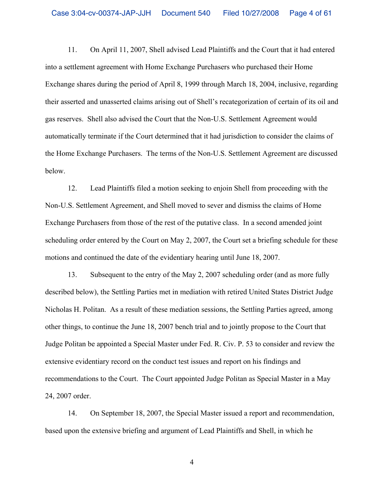11. On April 11, 2007, Shell advised Lead Plaintiffs and the Court that it had entered into a settlement agreement with Home Exchange Purchasers who purchased their Home Exchange shares during the period of April 8, 1999 through March 18, 2004, inclusive, regarding their asserted and unasserted claims arising out of Shell's recategorization of certain of its oil and gas reserves. Shell also advised the Court that the Non-U.S. Settlement Agreement would automatically terminate if the Court determined that it had jurisdiction to consider the claims of the Home Exchange Purchasers. The terms of the Non-U.S. Settlement Agreement are discussed below.

12. Lead Plaintiffs filed a motion seeking to enjoin Shell from proceeding with the Non-U.S. Settlement Agreement, and Shell moved to sever and dismiss the claims of Home Exchange Purchasers from those of the rest of the putative class. In a second amended joint scheduling order entered by the Court on May 2, 2007, the Court set a briefing schedule for these motions and continued the date of the evidentiary hearing until June 18, 2007.

13. Subsequent to the entry of the May 2, 2007 scheduling order (and as more fully described below), the Settling Parties met in mediation with retired United States District Judge Nicholas H. Politan. As a result of these mediation sessions, the Settling Parties agreed, among other things, to continue the June 18, 2007 bench trial and to jointly propose to the Court that Judge Politan be appointed a Special Master under Fed. R. Civ. P. 53 to consider and review the extensive evidentiary record on the conduct test issues and report on his findings and recommendations to the Court. The Court appointed Judge Politan as Special Master in a May 24, 2007 order.

14. On September 18, 2007, the Special Master issued a report and recommendation, based upon the extensive briefing and argument of Lead Plaintiffs and Shell, in which he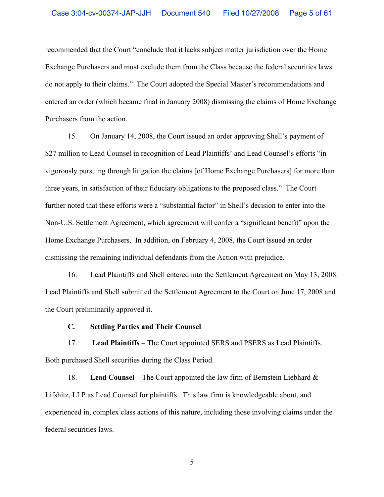recommended that the Court "conclude that it lacks subject matter jurisdiction over the Home Exchange Purchasers and must exclude them from the Class because the federal securities laws do not apply to their claims." The Court adopted the Special Master's recommendations and entered an order (which became final in January 2008) dismissing the claims of Home Exchange Purchasers from the action.

15. On January 14, 2008, the Court issued an order approving Shell's payment of \$27 million to Lead Counsel in recognition of Lead Plaintiffs' and Lead Counsel's efforts "in vigorously pursuing through litigation the claims [of Home Exchange Purchasers] for more than three years, in satisfaction of their fiduciary obligations to the proposed class." The Court further noted that these efforts were a "substantial factor" in Shell's decision to enter into the Non-U.S. Settlement Agreement, which agreement will confer a "significant benefit" upon the Home Exchange Purchasers. In addition, on February 4, 2008, the Court issued an order dismissing the remaining individual defendants from the Action with prejudice.

16. Lead Plaintiffs and Shell entered into the Settlement Agreement on May 13, 2008. Lead Plaintiffs and Shell submitted the Settlement Agreement to the Court on June 17, 2008 and the Court preliminarily approved it.

### **C. Settling Parties and Their Counsel**

17. **Lead Plaintiffs** – The Court appointed SERS and PSERS as Lead Plaintiffs. Both purchased Shell securities during the Class Period.

18. **Lead Counsel** – The Court appointed the law firm of Bernstein Liebhard & Lifshitz, LLP as Lead Counsel for plaintiffs. This law firm is knowledgeable about, and experienced in, complex class actions of this nature, including those involving claims under the federal securities laws.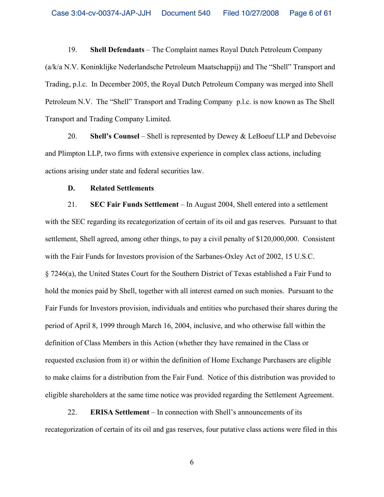19. **Shell Defendants** – The Complaint names Royal Dutch Petroleum Company (a/k/a N.V. Koninklijke Nederlandsche Petroleum Maatschappij) and The "Shell" Transport and Trading, p.l.c. In December 2005, the Royal Dutch Petroleum Company was merged into Shell Petroleum N.V. The "Shell" Transport and Trading Company p.l.c. is now known as The Shell Transport and Trading Company Limited.

20. **Shell's Counsel** – Shell is represented by Dewey & LeBoeuf LLP and Debevoise and Plimpton LLP, two firms with extensive experience in complex class actions, including actions arising under state and federal securities law.

### **D. Related Settlements**

21. **SEC Fair Funds Settlement** – In August 2004, Shell entered into a settlement with the SEC regarding its recategorization of certain of its oil and gas reserves. Pursuant to that settlement, Shell agreed, among other things, to pay a civil penalty of \$120,000,000. Consistent with the Fair Funds for Investors provision of the Sarbanes-Oxley Act of 2002, 15 U.S.C. § 7246(a), the United States Court for the Southern District of Texas established a Fair Fund to hold the monies paid by Shell, together with all interest earned on such monies. Pursuant to the Fair Funds for Investors provision, individuals and entities who purchased their shares during the period of April 8, 1999 through March 16, 2004, inclusive, and who otherwise fall within the definition of Class Members in this Action (whether they have remained in the Class or requested exclusion from it) or within the definition of Home Exchange Purchasers are eligible to make claims for a distribution from the Fair Fund. Notice of this distribution was provided to eligible shareholders at the same time notice was provided regarding the Settlement Agreement.

22. **ERISA Settlement** – In connection with Shell's announcements of its recategorization of certain of its oil and gas reserves, four putative class actions were filed in this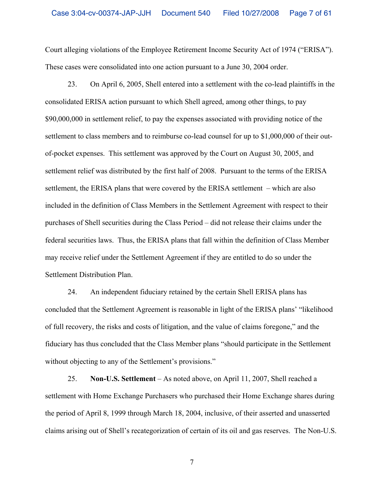Court alleging violations of the Employee Retirement Income Security Act of 1974 ("ERISA"). These cases were consolidated into one action pursuant to a June 30, 2004 order.

23. On April 6, 2005, Shell entered into a settlement with the co-lead plaintiffs in the consolidated ERISA action pursuant to which Shell agreed, among other things, to pay \$90,000,000 in settlement relief, to pay the expenses associated with providing notice of the settlement to class members and to reimburse co-lead counsel for up to \$1,000,000 of their outof-pocket expenses. This settlement was approved by the Court on August 30, 2005, and settlement relief was distributed by the first half of 2008. Pursuant to the terms of the ERISA settlement, the ERISA plans that were covered by the ERISA settlement – which are also included in the definition of Class Members in the Settlement Agreement with respect to their purchases of Shell securities during the Class Period – did not release their claims under the federal securities laws. Thus, the ERISA plans that fall within the definition of Class Member may receive relief under the Settlement Agreement if they are entitled to do so under the Settlement Distribution Plan.

24. An independent fiduciary retained by the certain Shell ERISA plans has concluded that the Settlement Agreement is reasonable in light of the ERISA plans' "likelihood of full recovery, the risks and costs of litigation, and the value of claims foregone," and the fiduciary has thus concluded that the Class Member plans "should participate in the Settlement without objecting to any of the Settlement's provisions."

25. **Non-U.S. Settlement** – As noted above, on April 11, 2007, Shell reached a settlement with Home Exchange Purchasers who purchased their Home Exchange shares during the period of April 8, 1999 through March 18, 2004, inclusive, of their asserted and unasserted claims arising out of Shell's recategorization of certain of its oil and gas reserves. The Non-U.S.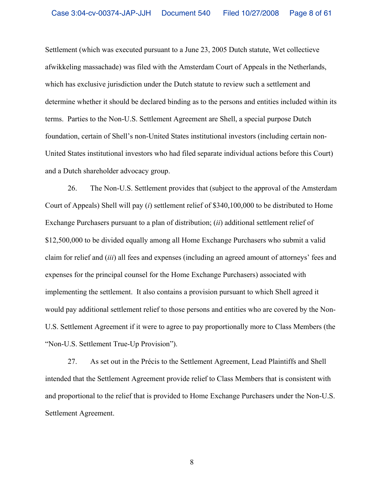Settlement (which was executed pursuant to a June 23, 2005 Dutch statute, Wet collectieve afwikkeling massachade) was filed with the Amsterdam Court of Appeals in the Netherlands, which has exclusive jurisdiction under the Dutch statute to review such a settlement and determine whether it should be declared binding as to the persons and entities included within its terms. Parties to the Non-U.S. Settlement Agreement are Shell, a special purpose Dutch foundation, certain of Shell's non-United States institutional investors (including certain non-United States institutional investors who had filed separate individual actions before this Court) and a Dutch shareholder advocacy group.

26. The Non-U.S. Settlement provides that (subject to the approval of the Amsterdam Court of Appeals) Shell will pay (*i*) settlement relief of \$340,100,000 to be distributed to Home Exchange Purchasers pursuant to a plan of distribution; (*ii*) additional settlement relief of \$12,500,000 to be divided equally among all Home Exchange Purchasers who submit a valid claim for relief and (*iii*) all fees and expenses (including an agreed amount of attorneys' fees and expenses for the principal counsel for the Home Exchange Purchasers) associated with implementing the settlement. It also contains a provision pursuant to which Shell agreed it would pay additional settlement relief to those persons and entities who are covered by the Non-U.S. Settlement Agreement if it were to agree to pay proportionally more to Class Members (the "Non-U.S. Settlement True-Up Provision").

27. As set out in the Précis to the Settlement Agreement, Lead Plaintiffs and Shell intended that the Settlement Agreement provide relief to Class Members that is consistent with and proportional to the relief that is provided to Home Exchange Purchasers under the Non-U.S. Settlement Agreement.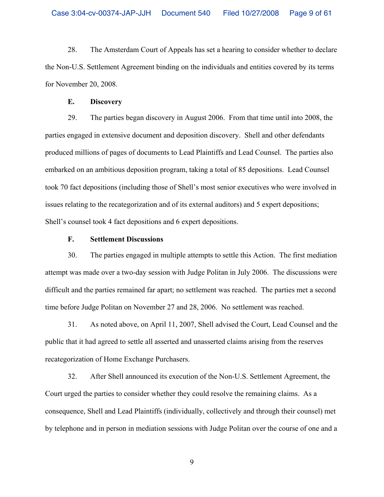28. The Amsterdam Court of Appeals has set a hearing to consider whether to declare the Non-U.S. Settlement Agreement binding on the individuals and entities covered by its terms for November 20, 2008.

### **E. Discovery**

29. The parties began discovery in August 2006. From that time until into 2008, the parties engaged in extensive document and deposition discovery. Shell and other defendants produced millions of pages of documents to Lead Plaintiffs and Lead Counsel. The parties also embarked on an ambitious deposition program, taking a total of 85 depositions. Lead Counsel took 70 fact depositions (including those of Shell's most senior executives who were involved in issues relating to the recategorization and of its external auditors) and 5 expert depositions; Shell's counsel took 4 fact depositions and 6 expert depositions.

# **F. Settlement Discussions**

30. The parties engaged in multiple attempts to settle this Action. The first mediation attempt was made over a two-day session with Judge Politan in July 2006. The discussions were difficult and the parties remained far apart; no settlement was reached. The parties met a second time before Judge Politan on November 27 and 28, 2006. No settlement was reached.

31. As noted above, on April 11, 2007, Shell advised the Court, Lead Counsel and the public that it had agreed to settle all asserted and unasserted claims arising from the reserves recategorization of Home Exchange Purchasers.

32. After Shell announced its execution of the Non-U.S. Settlement Agreement, the Court urged the parties to consider whether they could resolve the remaining claims. As a consequence, Shell and Lead Plaintiffs (individually, collectively and through their counsel) met by telephone and in person in mediation sessions with Judge Politan over the course of one and a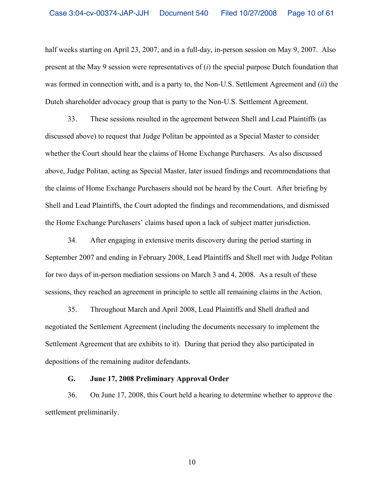half weeks starting on April 23, 2007, and in a full-day, in-person session on May 9, 2007. Also present at the May 9 session were representatives of (*i*) the special purpose Dutch foundation that was formed in connection with, and is a party to, the Non-U.S. Settlement Agreement and (*ii*) the Dutch shareholder advocacy group that is party to the Non-U.S. Settlement Agreement.

33. These sessions resulted in the agreement between Shell and Lead Plaintiffs (as discussed above) to request that Judge Politan be appointed as a Special Master to consider whether the Court should hear the claims of Home Exchange Purchasers. As also discussed above, Judge Politan, acting as Special Master, later issued findings and recommendations that the claims of Home Exchange Purchasers should not be heard by the Court. After briefing by Shell and Lead Plaintiffs, the Court adopted the findings and recommendations, and dismissed the Home Exchange Purchasers' claims based upon a lack of subject matter jurisdiction.

34. After engaging in extensive merits discovery during the period starting in September 2007 and ending in February 2008, Lead Plaintiffs and Shell met with Judge Politan for two days of in-person mediation sessions on March 3 and 4, 2008. As a result of these sessions, they reached an agreement in principle to settle all remaining claims in the Action.

35. Throughout March and April 2008, Lead Plaintiffs and Shell drafted and negotiated the Settlement Agreement (including the documents necessary to implement the Settlement Agreement that are exhibits to it). During that period they also participated in depositions of the remaining auditor defendants.

### **G. June 17, 2008 Preliminary Approval Order**

36. On June 17, 2008, this Court held a hearing to determine whether to approve the settlement preliminarily.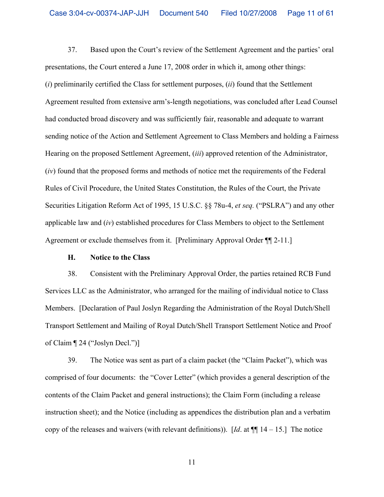37. Based upon the Court's review of the Settlement Agreement and the parties' oral presentations, the Court entered a June 17, 2008 order in which it, among other things: (*i*) preliminarily certified the Class for settlement purposes, (*ii*) found that the Settlement Agreement resulted from extensive arm's-length negotiations, was concluded after Lead Counsel had conducted broad discovery and was sufficiently fair, reasonable and adequate to warrant sending notice of the Action and Settlement Agreement to Class Members and holding a Fairness Hearing on the proposed Settlement Agreement, (*iii*) approved retention of the Administrator, (*iv*) found that the proposed forms and methods of notice met the requirements of the Federal Rules of Civil Procedure, the United States Constitution, the Rules of the Court, the Private Securities Litigation Reform Act of 1995, 15 U.S.C. §§ 78u-4, *et seq.* ("PSLRA") and any other applicable law and (*iv*) established procedures for Class Members to object to the Settlement Agreement or exclude themselves from it. [Preliminary Approval Order ¶¶ 2-11.]

### **H. Notice to the Class**

38. Consistent with the Preliminary Approval Order, the parties retained RCB Fund Services LLC as the Administrator, who arranged for the mailing of individual notice to Class Members. [Declaration of Paul Joslyn Regarding the Administration of the Royal Dutch/Shell Transport Settlement and Mailing of Royal Dutch/Shell Transport Settlement Notice and Proof of Claim ¶ 24 ("Joslyn Decl.")]

39. The Notice was sent as part of a claim packet (the "Claim Packet"), which was comprised of four documents: the "Cover Letter" (which provides a general description of the contents of the Claim Packet and general instructions); the Claim Form (including a release instruction sheet); and the Notice (including as appendices the distribution plan and a verbatim copy of the releases and waivers (with relevant definitions)). [*Id.* at  $\P$ [14 – 15.] The notice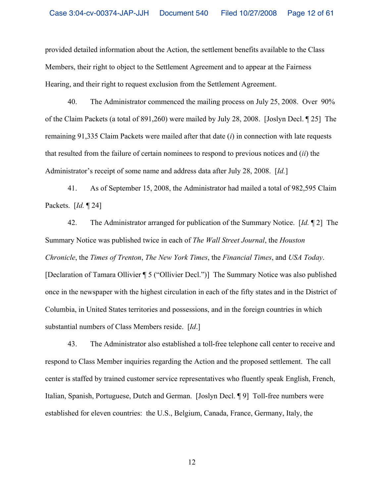provided detailed information about the Action, the settlement benefits available to the Class Members, their right to object to the Settlement Agreement and to appear at the Fairness Hearing, and their right to request exclusion from the Settlement Agreement.

40. The Administrator commenced the mailing process on July 25, 2008. Over 90% of the Claim Packets (a total of 891,260) were mailed by July 28, 2008. [Joslyn Decl. ¶ 25] The remaining 91,335 Claim Packets were mailed after that date (*i*) in connection with late requests that resulted from the failure of certain nominees to respond to previous notices and (*ii*) the Administrator's receipt of some name and address data after July 28, 2008. [*Id.*]

41. As of September 15, 2008, the Administrator had mailed a total of 982,595 Claim Packets. [*Id.* ¶ 24]

42. The Administrator arranged for publication of the Summary Notice. [*Id.* ¶ 2] The Summary Notice was published twice in each of *The Wall Street Journal*, the *Houston Chronicle*, the *Times of Trenton*, *The New York Times*, the *Financial Times*, and *USA Today*. [Declaration of Tamara Ollivier ¶ 5 ("Ollivier Decl.")] The Summary Notice was also published once in the newspaper with the highest circulation in each of the fifty states and in the District of Columbia, in United States territories and possessions, and in the foreign countries in which substantial numbers of Class Members reside. [*Id*.]

43. The Administrator also established a toll-free telephone call center to receive and respond to Class Member inquiries regarding the Action and the proposed settlement. The call center is staffed by trained customer service representatives who fluently speak English, French, Italian, Spanish, Portuguese, Dutch and German. [Joslyn Decl. ¶ 9] Toll-free numbers were established for eleven countries: the U.S., Belgium, Canada, France, Germany, Italy, the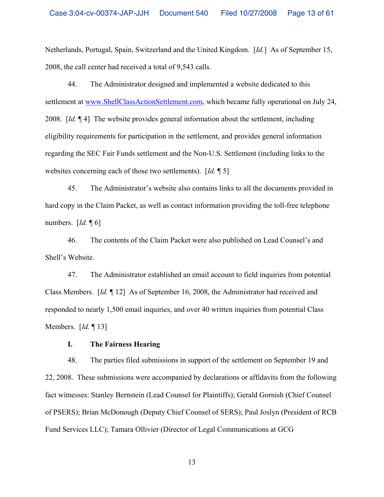Netherlands, Portugal, Spain, Switzerland and the United Kingdom. [*Id.*] As of September 15, 2008, the call center had received a total of 9,543 calls.

44. The Administrator designed and implemented a website dedicated to this settlement at www.ShellClassActionSettlement.com, which became fully operational on July 24, 2008. [*Id.* ¶ 4] The website provides general information about the settlement, including eligibility requirements for participation in the settlement, and provides general information regarding the SEC Fair Funds settlement and the Non-U.S. Settlement (including links to the websites concerning each of those two settlements). [*Id.* ¶ 5]

45. The Administrator's website also contains links to all the documents provided in hard copy in the Claim Packet, as well as contact information providing the toll-free telephone numbers. [*Id.* ¶ 6]

46. The contents of the Claim Packet were also published on Lead Counsel's and Shell's Website.

47. The Administrator established an email account to field inquiries from potential Class Members. [*Id.* ¶ 12] As of September 16, 2008, the Administrator had received and responded to nearly 1,500 email inquiries, and over 40 written inquiries from potential Class Members. [*Id.* ¶ 13]

# **I. The Fairness Hearing**

48. The parties filed submissions in support of the settlement on September 19 and 22, 2008. These submissions were accompanied by declarations or affidavits from the following fact witnesses: Stanley Bernstein (Lead Counsel for Plaintiffs); Gerald Gornish (Chief Counsel of PSERS); Brian McDonough (Deputy Chief Counsel of SERS); Paul Joslyn (President of RCB Fund Services LLC); Tamara Ollivier (Director of Legal Communications at GCG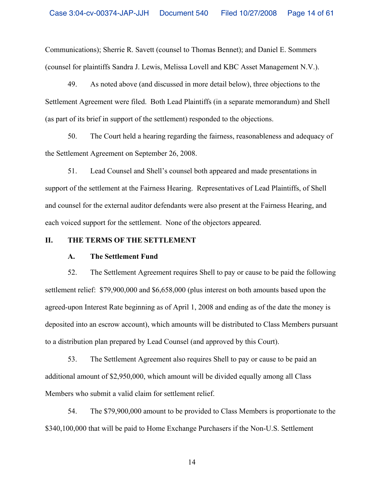Communications); Sherrie R. Savett (counsel to Thomas Bennet); and Daniel E. Sommers (counsel for plaintiffs Sandra J. Lewis, Melissa Lovell and KBC Asset Management N.V.).

49. As noted above (and discussed in more detail below), three objections to the Settlement Agreement were filed. Both Lead Plaintiffs (in a separate memorandum) and Shell (as part of its brief in support of the settlement) responded to the objections.

50. The Court held a hearing regarding the fairness, reasonableness and adequacy of the Settlement Agreement on September 26, 2008.

51. Lead Counsel and Shell's counsel both appeared and made presentations in support of the settlement at the Fairness Hearing. Representatives of Lead Plaintiffs, of Shell and counsel for the external auditor defendants were also present at the Fairness Hearing, and each voiced support for the settlement. None of the objectors appeared.

### **II. THE TERMS OF THE SETTLEMENT**

### **A. The Settlement Fund**

52. The Settlement Agreement requires Shell to pay or cause to be paid the following settlement relief: \$79,900,000 and \$6,658,000 (plus interest on both amounts based upon the agreed-upon Interest Rate beginning as of April 1, 2008 and ending as of the date the money is deposited into an escrow account), which amounts will be distributed to Class Members pursuant to a distribution plan prepared by Lead Counsel (and approved by this Court).

53. The Settlement Agreement also requires Shell to pay or cause to be paid an additional amount of \$2,950,000, which amount will be divided equally among all Class Members who submit a valid claim for settlement relief.

54. The \$79,900,000 amount to be provided to Class Members is proportionate to the \$340,100,000 that will be paid to Home Exchange Purchasers if the Non-U.S. Settlement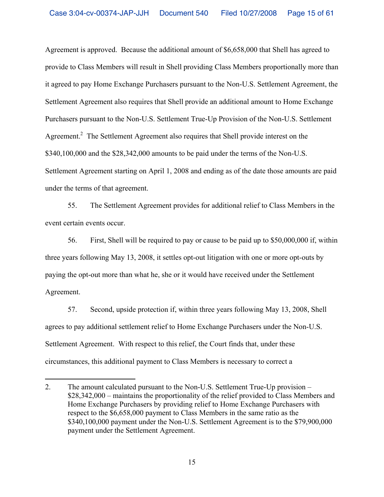Agreement is approved. Because the additional amount of \$6,658,000 that Shell has agreed to provide to Class Members will result in Shell providing Class Members proportionally more than it agreed to pay Home Exchange Purchasers pursuant to the Non-U.S. Settlement Agreement, the Settlement Agreement also requires that Shell provide an additional amount to Home Exchange Purchasers pursuant to the Non-U.S. Settlement True-Up Provision of the Non-U.S. Settlement Agreement.<sup>2</sup> The Settlement Agreement also requires that Shell provide interest on the \$340,100,000 and the \$28,342,000 amounts to be paid under the terms of the Non-U.S. Settlement Agreement starting on April 1, 2008 and ending as of the date those amounts are paid under the terms of that agreement.

55. The Settlement Agreement provides for additional relief to Class Members in the event certain events occur.

56. First, Shell will be required to pay or cause to be paid up to \$50,000,000 if, within three years following May 13, 2008, it settles opt-out litigation with one or more opt-outs by paying the opt-out more than what he, she or it would have received under the Settlement Agreement.

57. Second, upside protection if, within three years following May 13, 2008, Shell agrees to pay additional settlement relief to Home Exchange Purchasers under the Non-U.S. Settlement Agreement. With respect to this relief, the Court finds that, under these circumstances, this additional payment to Class Members is necessary to correct a

<sup>2.</sup> The amount calculated pursuant to the Non-U.S. Settlement True-Up provision – \$28,342,000 – maintains the proportionality of the relief provided to Class Members and Home Exchange Purchasers by providing relief to Home Exchange Purchasers with respect to the \$6,658,000 payment to Class Members in the same ratio as the \$340,100,000 payment under the Non-U.S. Settlement Agreement is to the \$79,900,000 payment under the Settlement Agreement.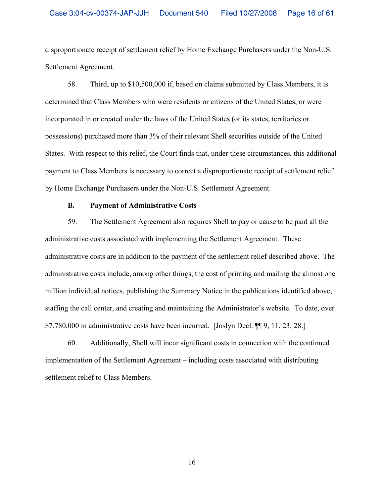disproportionate receipt of settlement relief by Home Exchange Purchasers under the Non-U.S. Settlement Agreement.

58. Third, up to \$10,500,000 if, based on claims submitted by Class Members, it is determined that Class Members who were residents or citizens of the United States, or were incorporated in or created under the laws of the United States (or its states, territories or possessions) purchased more than 3% of their relevant Shell securities outside of the United States. With respect to this relief, the Court finds that, under these circumstances, this additional payment to Class Members is necessary to correct a disproportionate receipt of settlement relief by Home Exchange Purchasers under the Non-U.S. Settlement Agreement.

### **B. Payment of Administrative Costs**

59. The Settlement Agreement also requires Shell to pay or cause to be paid all the administrative costs associated with implementing the Settlement Agreement. These administrative costs are in addition to the payment of the settlement relief described above. The administrative costs include, among other things, the cost of printing and mailing the almost one million individual notices, publishing the Summary Notice in the publications identified above, staffing the call center, and creating and maintaining the Administrator's website. To date, over \$7,780,000 in administrative costs have been incurred. [Joslyn Decl. ¶¶ 9, 11, 23, 28.]

60. Additionally, Shell will incur significant costs in connection with the continued implementation of the Settlement Agreement – including costs associated with distributing settlement relief to Class Members.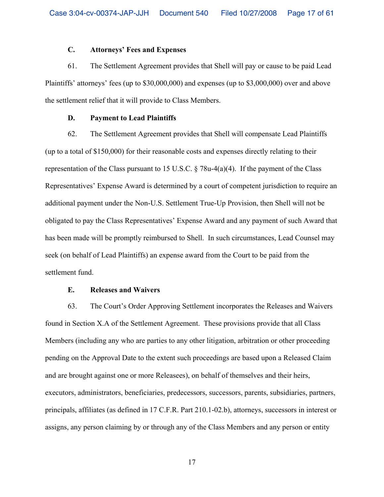# **C. Attorneys' Fees and Expenses**

61. The Settlement Agreement provides that Shell will pay or cause to be paid Lead Plaintiffs' attorneys' fees (up to \$30,000,000) and expenses (up to \$3,000,000) over and above the settlement relief that it will provide to Class Members.

### **D. Payment to Lead Plaintiffs**

62. The Settlement Agreement provides that Shell will compensate Lead Plaintiffs (up to a total of \$150,000) for their reasonable costs and expenses directly relating to their representation of the Class pursuant to 15 U.S.C. § 78u-4(a)(4). If the payment of the Class Representatives' Expense Award is determined by a court of competent jurisdiction to require an additional payment under the Non-U.S. Settlement True-Up Provision, then Shell will not be obligated to pay the Class Representatives' Expense Award and any payment of such Award that has been made will be promptly reimbursed to Shell. In such circumstances, Lead Counsel may seek (on behalf of Lead Plaintiffs) an expense award from the Court to be paid from the settlement fund.

# **E. Releases and Waivers**

63. The Court's Order Approving Settlement incorporates the Releases and Waivers found in Section X.A of the Settlement Agreement. These provisions provide that all Class Members (including any who are parties to any other litigation, arbitration or other proceeding pending on the Approval Date to the extent such proceedings are based upon a Released Claim and are brought against one or more Releasees), on behalf of themselves and their heirs, executors, administrators, beneficiaries, predecessors, successors, parents, subsidiaries, partners, principals, affiliates (as defined in 17 C.F.R. Part 210.1-02.b), attorneys, successors in interest or assigns, any person claiming by or through any of the Class Members and any person or entity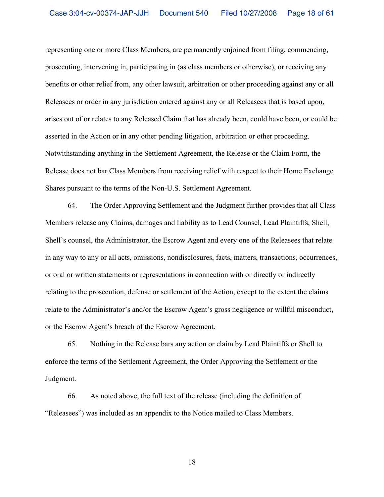representing one or more Class Members, are permanently enjoined from filing, commencing, prosecuting, intervening in, participating in (as class members or otherwise), or receiving any benefits or other relief from, any other lawsuit, arbitration or other proceeding against any or all Releasees or order in any jurisdiction entered against any or all Releasees that is based upon, arises out of or relates to any Released Claim that has already been, could have been, or could be asserted in the Action or in any other pending litigation, arbitration or other proceeding. Notwithstanding anything in the Settlement Agreement, the Release or the Claim Form, the Release does not bar Class Members from receiving relief with respect to their Home Exchange Shares pursuant to the terms of the Non-U.S. Settlement Agreement.

64. The Order Approving Settlement and the Judgment further provides that all Class Members release any Claims, damages and liability as to Lead Counsel, Lead Plaintiffs, Shell, Shell's counsel, the Administrator, the Escrow Agent and every one of the Releasees that relate in any way to any or all acts, omissions, nondisclosures, facts, matters, transactions, occurrences, or oral or written statements or representations in connection with or directly or indirectly relating to the prosecution, defense or settlement of the Action, except to the extent the claims relate to the Administrator's and/or the Escrow Agent's gross negligence or willful misconduct, or the Escrow Agent's breach of the Escrow Agreement.

65. Nothing in the Release bars any action or claim by Lead Plaintiffs or Shell to enforce the terms of the Settlement Agreement, the Order Approving the Settlement or the Judgment.

66. As noted above, the full text of the release (including the definition of "Releasees") was included as an appendix to the Notice mailed to Class Members.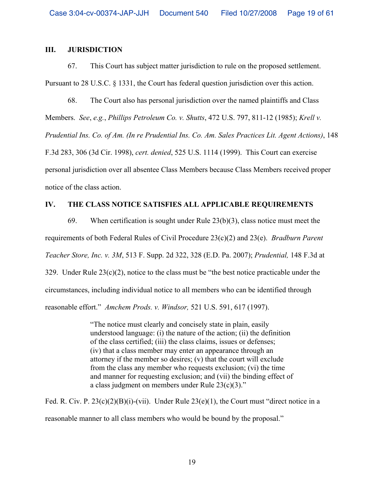# **III. JURISDICTION**

67. This Court has subject matter jurisdiction to rule on the proposed settlement. Pursuant to 28 U.S.C. § 1331, the Court has federal question jurisdiction over this action.

68. The Court also has personal jurisdiction over the named plaintiffs and Class Members. *See*, *e.g.*, *Phillips Petroleum Co. v. Shutts*, 472 U.S. 797, 811-12 (1985); *Krell v. Prudential Ins. Co. of Am. (In re Prudential Ins. Co. Am. Sales Practices Lit. Agent Actions)*, 148 F.3d 283, 306 (3d Cir. 1998), *cert. denied*, 525 U.S. 1114 (1999). This Court can exercise personal jurisdiction over all absentee Class Members because Class Members received proper notice of the class action.

# **IV. THE CLASS NOTICE SATISFIES ALL APPLICABLE REQUIREMENTS**

69. When certification is sought under Rule 23(b)(3), class notice must meet the requirements of both Federal Rules of Civil Procedure 23(c)(2) and 23(e). *Bradburn Parent Teacher Store, Inc. v. 3M*, 513 F. Supp. 2d 322, 328 (E.D. Pa. 2007); *Prudential,* 148 F.3d at 329. Under Rule 23(c)(2), notice to the class must be "the best notice practicable under the circumstances, including individual notice to all members who can be identified through reasonable effort." *Amchem Prods. v. Windsor,* 521 U.S. 591, 617 (1997).

> "The notice must clearly and concisely state in plain, easily understood language: (i) the nature of the action; (ii) the definition of the class certified; (iii) the class claims, issues or defenses; (iv) that a class member may enter an appearance through an attorney if the member so desires; (v) that the court will exclude from the class any member who requests exclusion; (vi) the time and manner for requesting exclusion; and (vii) the binding effect of a class judgment on members under Rule 23(c)(3)."

Fed. R. Civ. P.  $23(c)(2)(B)(i)-(vii)$ . Under Rule  $23(e)(1)$ , the Court must "direct notice in a reasonable manner to all class members who would be bound by the proposal."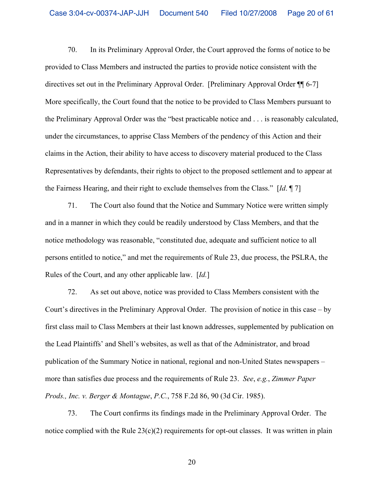70. In its Preliminary Approval Order, the Court approved the forms of notice to be provided to Class Members and instructed the parties to provide notice consistent with the directives set out in the Preliminary Approval Order. [Preliminary Approval Order ¶¶ 6-7] More specifically, the Court found that the notice to be provided to Class Members pursuant to the Preliminary Approval Order was the "best practicable notice and . . . is reasonably calculated, under the circumstances, to apprise Class Members of the pendency of this Action and their claims in the Action, their ability to have access to discovery material produced to the Class Representatives by defendants, their rights to object to the proposed settlement and to appear at the Fairness Hearing, and their right to exclude themselves from the Class." [*Id*. ¶ 7]

71. The Court also found that the Notice and Summary Notice were written simply and in a manner in which they could be readily understood by Class Members, and that the notice methodology was reasonable, "constituted due, adequate and sufficient notice to all persons entitled to notice," and met the requirements of Rule 23, due process, the PSLRA, the Rules of the Court, and any other applicable law. [*Id.*]

72. As set out above, notice was provided to Class Members consistent with the Court's directives in the Preliminary Approval Order. The provision of notice in this case – by first class mail to Class Members at their last known addresses, supplemented by publication on the Lead Plaintiffs' and Shell's websites, as well as that of the Administrator, and broad publication of the Summary Notice in national, regional and non-United States newspapers – more than satisfies due process and the requirements of Rule 23. *See*, *e.g.*, *Zimmer Paper Prods., Inc. v. Berger & Montague*, *P.C.*, 758 F.2d 86, 90 (3d Cir. 1985).

73. The Court confirms its findings made in the Preliminary Approval Order. The notice complied with the Rule  $23(c)(2)$  requirements for opt-out classes. It was written in plain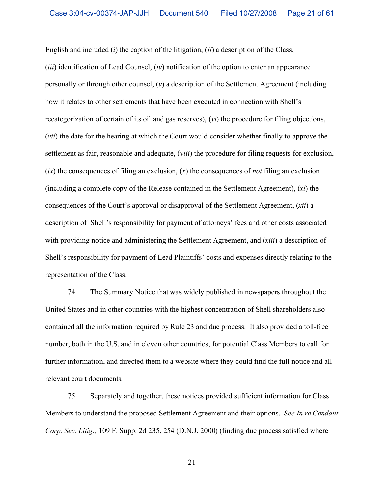English and included (*i*) the caption of the litigation, (*ii*) a description of the Class, (*iii*) identification of Lead Counsel, (*iv*) notification of the option to enter an appearance personally or through other counsel, (*v*) a description of the Settlement Agreement (including how it relates to other settlements that have been executed in connection with Shell's recategorization of certain of its oil and gas reserves), (*vi*) the procedure for filing objections, (*vii*) the date for the hearing at which the Court would consider whether finally to approve the settlement as fair, reasonable and adequate, (*viii*) the procedure for filing requests for exclusion, (*ix*) the consequences of filing an exclusion, (*x*) the consequences of *not* filing an exclusion (including a complete copy of the Release contained in the Settlement Agreement), (*xi*) the consequences of the Court's approval or disapproval of the Settlement Agreement, (*xii*) a description of Shell's responsibility for payment of attorneys' fees and other costs associated with providing notice and administering the Settlement Agreement, and (*xiii*) a description of Shell's responsibility for payment of Lead Plaintiffs' costs and expenses directly relating to the representation of the Class.

74. The Summary Notice that was widely published in newspapers throughout the United States and in other countries with the highest concentration of Shell shareholders also contained all the information required by Rule 23 and due process. It also provided a toll-free number, both in the U.S. and in eleven other countries, for potential Class Members to call for further information, and directed them to a website where they could find the full notice and all relevant court documents.

75. Separately and together, these notices provided sufficient information for Class Members to understand the proposed Settlement Agreement and their options. *See In re Cendant Corp. Sec. Litig.,* 109 F. Supp. 2d 235, 254 (D.N.J. 2000) (finding due process satisfied where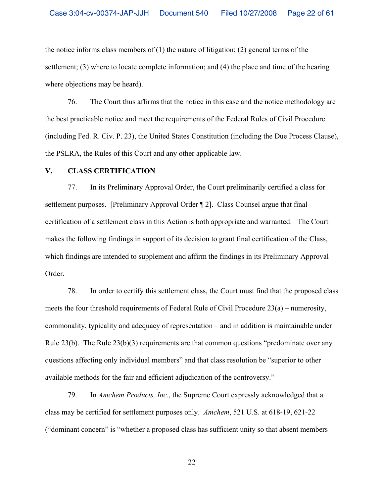the notice informs class members of  $(1)$  the nature of litigation;  $(2)$  general terms of the settlement; (3) where to locate complete information; and (4) the place and time of the hearing where objections may be heard).

76. The Court thus affirms that the notice in this case and the notice methodology are the best practicable notice and meet the requirements of the Federal Rules of Civil Procedure (including Fed. R. Civ. P. 23), the United States Constitution (including the Due Process Clause), the PSLRA, the Rules of this Court and any other applicable law.

#### **V. CLASS CERTIFICATION**

77. In its Preliminary Approval Order, the Court preliminarily certified a class for settlement purposes. [Preliminary Approval Order ¶ 2]. Class Counsel argue that final certification of a settlement class in this Action is both appropriate and warranted. The Court makes the following findings in support of its decision to grant final certification of the Class, which findings are intended to supplement and affirm the findings in its Preliminary Approval Order.

78. In order to certify this settlement class, the Court must find that the proposed class meets the four threshold requirements of Federal Rule of Civil Procedure 23(a) – numerosity, commonality, typicality and adequacy of representation – and in addition is maintainable under Rule  $23(b)$ . The Rule  $23(b)(3)$  requirements are that common questions "predominate over any questions affecting only individual members" and that class resolution be "superior to other available methods for the fair and efficient adjudication of the controversy."

79. In *Amchem Products, Inc.*, the Supreme Court expressly acknowledged that a class may be certified for settlement purposes only. *Amchem*, 521 U.S. at 618-19, 621-22 ("dominant concern" is "whether a proposed class has sufficient unity so that absent members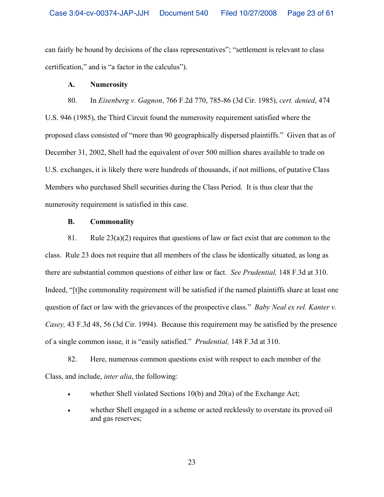can fairly be bound by decisions of the class representatives"; "settlement is relevant to class certification," and is "a factor in the calculus").

### **A. Numerosity**

80. In *Eisenberg v. Gagnon*, 766 F.2d 770, 785-86 (3d Cir. 1985), *cert. denied*, 474 U.S. 946 (1985), the Third Circuit found the numerosity requirement satisfied where the proposed class consisted of "more than 90 geographically dispersed plaintiffs." Given that as of December 31, 2002, Shell had the equivalent of over 500 million shares available to trade on U.S. exchanges, it is likely there were hundreds of thousands, if not millions, of putative Class Members who purchased Shell securities during the Class Period. It is thus clear that the numerosity requirement is satisfied in this case.

### **B. Commonality**

81. Rule  $23(a)(2)$  requires that questions of law or fact exist that are common to the class. Rule 23 does not require that all members of the class be identically situated, as long as there are substantial common questions of either law or fact. *See Prudential,* 148 F.3d at 310. Indeed, "[t]he commonality requirement will be satisfied if the named plaintiffs share at least one question of fact or law with the grievances of the prospective class." *Baby Neal ex rel. Kanter v. Casey,* 43 F.3d 48, 56 (3d Cir. 1994). Because this requirement may be satisfied by the presence of a single common issue, it is "easily satisfied." *Prudential,* 148 F.3d at 310.

82. Here, numerous common questions exist with respect to each member of the Class, and include, *inter alia*, the following:

- whether Shell violated Sections  $10(b)$  and  $20(a)$  of the Exchange Act;
- whether Shell engaged in a scheme or acted recklessly to overstate its proved oil and gas reserves;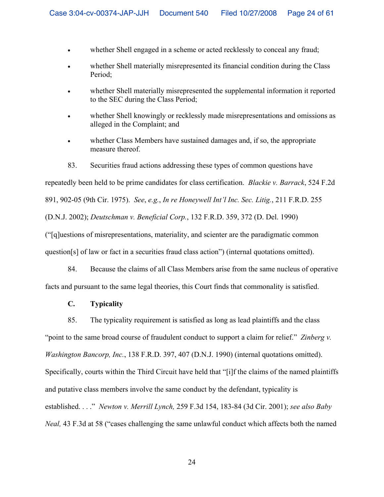- whether Shell engaged in a scheme or acted recklessly to conceal any fraud;
- ! whether Shell materially misrepresented its financial condition during the Class Period;
- ! whether Shell materially misrepresented the supplemental information it reported to the SEC during the Class Period;
- whether Shell knowingly or recklessly made misrepresentations and omissions as alleged in the Complaint; and
- ! whether Class Members have sustained damages and, if so, the appropriate measure thereof.
- 83. Securities fraud actions addressing these types of common questions have

repeatedly been held to be prime candidates for class certification. *Blackie v. Barrack*, 524 F.2d 891, 902-05 (9th Cir. 1975). *See*, *e.g.*, *In re Honeywell Int'l Inc. Sec. Litig.*, 211 F.R.D. 255 (D.N.J. 2002); *Deutschman v. Beneficial Corp.*, 132 F.R.D. 359, 372 (D. Del. 1990) ("[q]uestions of misrepresentations, materiality, and scienter are the paradigmatic common question[s] of law or fact in a securities fraud class action") (internal quotations omitted).

84. Because the claims of all Class Members arise from the same nucleus of operative facts and pursuant to the same legal theories, this Court finds that commonality is satisfied.

# **C. Typicality**

85. The typicality requirement is satisfied as long as lead plaintiffs and the class

"point to the same broad course of fraudulent conduct to support a claim for relief." *Zinberg v.* 

*Washington Bancorp, Inc.*, 138 F.R.D. 397, 407 (D.N.J. 1990) (internal quotations omitted).

Specifically, courts within the Third Circuit have held that "[i]f the claims of the named plaintiffs

and putative class members involve the same conduct by the defendant, typicality is

established. . . ." *Newton v. Merrill Lynch,* 259 F.3d 154, 183-84 (3d Cir. 2001); *see also Baby* 

*Neal,* 43 F.3d at 58 ("cases challenging the same unlawful conduct which affects both the named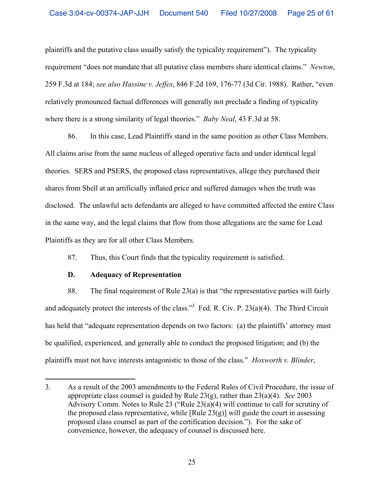plaintiffs and the putative class usually satisfy the typicality requirement"). The typicality requirement "does not mandate that all putative class members share identical claims." *Newton*, 259 F.3d at 184; *see also Hassine v. Jeffes*, 846 F.2d 169, 176-77 (3d Cir. 1988). Rather, "even relatively pronounced factual differences will generally not preclude a finding of typicality where there is a strong similarity of legal theories." *Baby Neal*, 43 F.3d at 58.

86. In this case, Lead Plaintiffs stand in the same position as other Class Members. All claims arise from the same nucleus of alleged operative facts and under identical legal theories. SERS and PSERS, the proposed class representatives, allege they purchased their shares from Shell at an artificially inflated price and suffered damages when the truth was disclosed. The unlawful acts defendants are alleged to have committed affected the entire Class in the same way, and the legal claims that flow from those allegations are the same for Lead Plaintiffs as they are for all other Class Members.

87. Thus, this Court finds that the typicality requirement is satisfied.

# **D. Adequacy of Representation**

 $\overline{a}$ 

88. The final requirement of Rule 23(a) is that "the representative parties will fairly and adequately protect the interests of the class."<sup>3</sup> Fed. R. Civ. P.  $23(a)(4)$ . The Third Circuit has held that "adequate representation depends on two factors: (a) the plaintiffs' attorney must be qualified, experienced, and generally able to conduct the proposed litigation; and (b) the plaintiffs must not have interests antagonistic to those of the class." *Hoxworth v. Blinder*,

<sup>3.</sup> As a result of the 2003 amendments to the Federal Rules of Civil Procedure, the issue of appropriate class counsel is guided by Rule 23(g), rather than 23(a)(4). *See* 2003 Advisory Comm. Notes to Rule 23 ("Rule 23(a)(4) will continue to call for scrutiny of the proposed class representative, while  $[Rule 23(g)]$  will guide the court in assessing proposed class counsel as part of the certification decision."). For the sake of convenience, however, the adequacy of counsel is discussed here.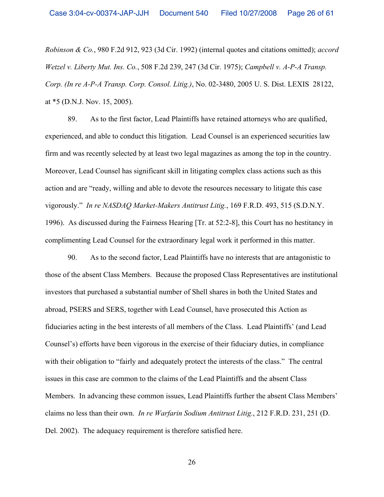*Robinson & Co.*, 980 F.2d 912, 923 (3d Cir. 1992) (internal quotes and citations omitted); *accord Wetzel v. Liberty Mut. Ins. Co.*, 508 F.2d 239, 247 (3d Cir. 1975); *Campbell v. A-P-A Transp. Corp. (In re A-P-A Transp. Corp. Consol. Litig.)*, No. 02-3480, 2005 U. S. Dist. LEXIS 28122, at \*5 (D.N.J. Nov. 15, 2005).

89. As to the first factor, Lead Plaintiffs have retained attorneys who are qualified, experienced, and able to conduct this litigation. Lead Counsel is an experienced securities law firm and was recently selected by at least two legal magazines as among the top in the country. Moreover, Lead Counsel has significant skill in litigating complex class actions such as this action and are "ready, willing and able to devote the resources necessary to litigate this case vigorously." *In re NASDAQ Market-Makers Antitrust Litig.*, 169 F.R.D. 493, 515 (S.D.N.Y. 1996). As discussed during the Fairness Hearing [Tr. at 52:2-8], this Court has no hestitancy in complimenting Lead Counsel for the extraordinary legal work it performed in this matter.

90. As to the second factor, Lead Plaintiffs have no interests that are antagonistic to those of the absent Class Members. Because the proposed Class Representatives are institutional investors that purchased a substantial number of Shell shares in both the United States and abroad, PSERS and SERS, together with Lead Counsel, have prosecuted this Action as fiduciaries acting in the best interests of all members of the Class. Lead Plaintiffs' (and Lead Counsel's) efforts have been vigorous in the exercise of their fiduciary duties, in compliance with their obligation to "fairly and adequately protect the interests of the class." The central issues in this case are common to the claims of the Lead Plaintiffs and the absent Class Members. In advancing these common issues, Lead Plaintiffs further the absent Class Members' claims no less than their own. *In re Warfarin Sodium Antitrust Litig.*, 212 F.R.D. 231, 251 (D. Del. 2002). The adequacy requirement is therefore satisfied here.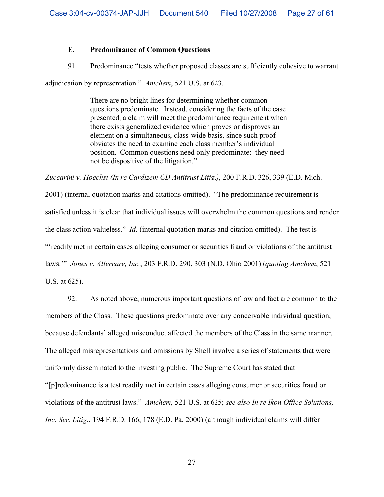## **E. Predominance of Common Questions**

91. Predominance "tests whether proposed classes are sufficiently cohesive to warrant

adjudication by representation." *Amchem*, 521 U.S. at 623.

There are no bright lines for determining whether common questions predominate. Instead, considering the facts of the case presented, a claim will meet the predominance requirement when there exists generalized evidence which proves or disproves an element on a simultaneous, class-wide basis, since such proof obviates the need to examine each class member's individual position. Common questions need only predominate: they need not be dispositive of the litigation."

*Zuccarini v. Hoechst (In re Cardizem CD Antitrust Litig.)*, 200 F.R.D. 326, 339 (E.D. Mich.

2001) (internal quotation marks and citations omitted). "The predominance requirement is satisfied unless it is clear that individual issues will overwhelm the common questions and render the class action valueless." *Id.* (internal quotation marks and citation omitted). The test is "'readily met in certain cases alleging consumer or securities fraud or violations of the antitrust laws.'" *Jones v. Allercare, Inc.*, 203 F.R.D. 290, 303 (N.D. Ohio 2001) (*quoting Amchem*, 521 U.S. at 625).

92. As noted above, numerous important questions of law and fact are common to the members of the Class. These questions predominate over any conceivable individual question, because defendants' alleged misconduct affected the members of the Class in the same manner. The alleged misrepresentations and omissions by Shell involve a series of statements that were uniformly disseminated to the investing public. The Supreme Court has stated that "[p]redominance is a test readily met in certain cases alleging consumer or securities fraud or violations of the antitrust laws." *Amchem,* 521 U.S. at 625; *see also In re Ikon Office Solutions, Inc. Sec. Litig.*, 194 F.R.D. 166, 178 (E.D. Pa. 2000) (although individual claims will differ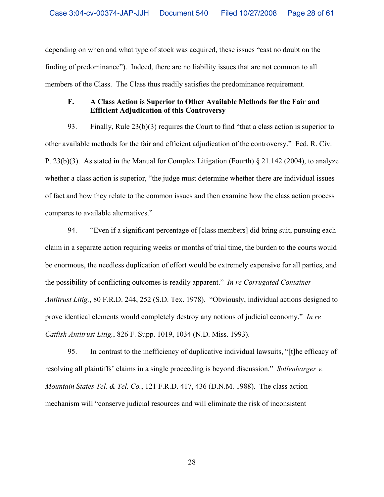depending on when and what type of stock was acquired, these issues "cast no doubt on the finding of predominance"). Indeed, there are no liability issues that are not common to all members of the Class. The Class thus readily satisfies the predominance requirement.

# **F. A Class Action is Superior to Other Available Methods for the Fair and Efficient Adjudication of this Controversy**

93. Finally, Rule 23(b)(3) requires the Court to find "that a class action is superior to other available methods for the fair and efficient adjudication of the controversy." Fed. R. Civ. P. 23(b)(3). As stated in the Manual for Complex Litigation (Fourth) § 21.142 (2004), to analyze whether a class action is superior, "the judge must determine whether there are individual issues of fact and how they relate to the common issues and then examine how the class action process compares to available alternatives."

94. "Even if a significant percentage of [class members] did bring suit, pursuing each claim in a separate action requiring weeks or months of trial time, the burden to the courts would be enormous, the needless duplication of effort would be extremely expensive for all parties, and the possibility of conflicting outcomes is readily apparent." *In re Corrugated Container Antitrust Litig.*, 80 F.R.D. 244, 252 (S.D. Tex. 1978). "Obviously, individual actions designed to prove identical elements would completely destroy any notions of judicial economy." *In re Catfish Antitrust Litig.*, 826 F. Supp. 1019, 1034 (N.D. Miss. 1993).

95. In contrast to the inefficiency of duplicative individual lawsuits, "[t]he efficacy of resolving all plaintiffs' claims in a single proceeding is beyond discussion." *Sollenbarger v. Mountain States Tel. & Tel. Co.*, 121 F.R.D. 417, 436 (D.N.M. 1988). The class action mechanism will "conserve judicial resources and will eliminate the risk of inconsistent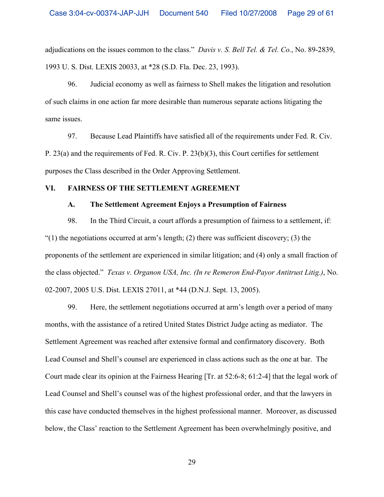adjudications on the issues common to the class." *Davis v. S. Bell Tel. & Tel. Co.*, No. 89-2839, 1993 U. S. Dist. LEXIS 20033, at \*28 (S.D. Fla. Dec. 23, 1993).

96. Judicial economy as well as fairness to Shell makes the litigation and resolution of such claims in one action far more desirable than numerous separate actions litigating the same issues.

97. Because Lead Plaintiffs have satisfied all of the requirements under Fed. R. Civ. P. 23(a) and the requirements of Fed. R. Civ. P. 23(b)(3), this Court certifies for settlement purposes the Class described in the Order Approving Settlement.

# **VI. FAIRNESS OF THE SETTLEMENT AGREEMENT**

### **A. The Settlement Agreement Enjoys a Presumption of Fairness**

98. In the Third Circuit, a court affords a presumption of fairness to a settlement, if: " $(1)$  the negotiations occurred at arm's length;  $(2)$  there was sufficient discovery;  $(3)$  the proponents of the settlement are experienced in similar litigation; and (4) only a small fraction of the class objected." *Texas v. Organon USA, Inc. (In re Remeron End-Payor Antitrust Litig.)*, No. 02-2007, 2005 U.S. Dist. LEXIS 27011, at \*44 (D.N.J. Sept. 13, 2005).

99. Here, the settlement negotiations occurred at arm's length over a period of many months, with the assistance of a retired United States District Judge acting as mediator. The Settlement Agreement was reached after extensive formal and confirmatory discovery. Both Lead Counsel and Shell's counsel are experienced in class actions such as the one at bar. The Court made clear its opinion at the Fairness Hearing [Tr. at 52:6-8; 61:2-4] that the legal work of Lead Counsel and Shell's counsel was of the highest professional order, and that the lawyers in this case have conducted themselves in the highest professional manner. Moreover, as discussed below, the Class' reaction to the Settlement Agreement has been overwhelmingly positive, and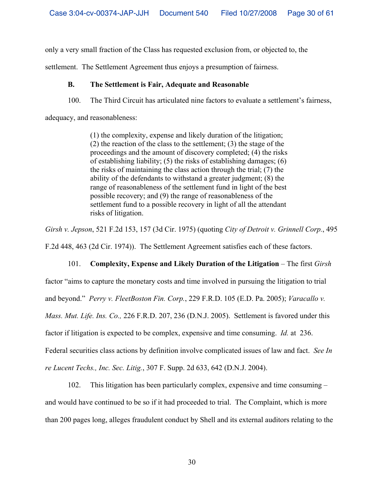only a very small fraction of the Class has requested exclusion from, or objected to, the

settlement. The Settlement Agreement thus enjoys a presumption of fairness.

# **B. The Settlement is Fair, Adequate and Reasonable**

100. The Third Circuit has articulated nine factors to evaluate a settlement's fairness,

adequacy, and reasonableness:

(1) the complexity, expense and likely duration of the litigation; (2) the reaction of the class to the settlement; (3) the stage of the proceedings and the amount of discovery completed; (4) the risks of establishing liability; (5) the risks of establishing damages; (6) the risks of maintaining the class action through the trial; (7) the ability of the defendants to withstand a greater judgment; (8) the range of reasonableness of the settlement fund in light of the best possible recovery; and (9) the range of reasonableness of the settlement fund to a possible recovery in light of all the attendant risks of litigation.

*Girsh v. Jepson*, 521 F.2d 153, 157 (3d Cir. 1975) (quoting *City of Detroit v. Grinnell Corp.*, 495

F.2d 448, 463 (2d Cir. 1974)). The Settlement Agreement satisfies each of these factors.

# 101. **Complexity, Expense and Likely Duration of the Litigation** – The first *Girsh*

factor "aims to capture the monetary costs and time involved in pursuing the litigation to trial

and beyond." *Perry v. FleetBoston Fin. Corp.*, 229 F.R.D. 105 (E.D. Pa. 2005); *Varacallo v.* 

*Mass. Mut. Life. Ins. Co.,* 226 F.R.D. 207, 236 (D.N.J. 2005). Settlement is favored under this

factor if litigation is expected to be complex, expensive and time consuming. *Id.* at 236.

Federal securities class actions by definition involve complicated issues of law and fact. *See In* 

*re Lucent Techs., Inc. Sec. Litig.*, 307 F. Supp. 2d 633, 642 (D.N.J. 2004).

102. This litigation has been particularly complex, expensive and time consuming – and would have continued to be so if it had proceeded to trial. The Complaint, which is more than 200 pages long, alleges fraudulent conduct by Shell and its external auditors relating to the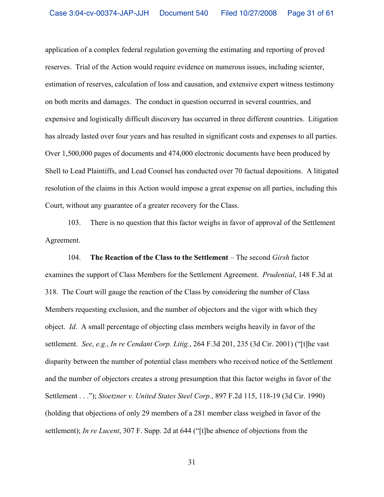application of a complex federal regulation governing the estimating and reporting of proved reserves. Trial of the Action would require evidence on numerous issues, including scienter, estimation of reserves, calculation of loss and causation, and extensive expert witness testimony on both merits and damages. The conduct in question occurred in several countries, and expensive and logistically difficult discovery has occurred in three different countries. Litigation has already lasted over four years and has resulted in significant costs and expenses to all parties. Over 1,500,000 pages of documents and 474,000 electronic documents have been produced by Shell to Lead Plaintiffs, and Lead Counsel has conducted over 70 factual depositions. A litigated resolution of the claims in this Action would impose a great expense on all parties, including this Court, without any guarantee of a greater recovery for the Class.

103. There is no question that this factor weighs in favor of approval of the Settlement Agreement.

104. **The Reaction of the Class to the Settlement** – The second *Girsh* factor examines the support of Class Members for the Settlement Agreement. *Prudential*, 148 F.3d at 318. The Court will gauge the reaction of the Class by considering the number of Class Members requesting exclusion, and the number of objectors and the vigor with which they object. *Id*. A small percentage of objecting class members weighs heavily in favor of the settlement. *See*, *e.g.*, *In re Cendant Corp. Litig.*, 264 F.3d 201, 235 (3d Cir. 2001) ("[t]he vast disparity between the number of potential class members who received notice of the Settlement and the number of objectors creates a strong presumption that this factor weighs in favor of the Settlement . . ."); *Stoetzner v. United States Steel Corp.*, 897 F.2d 115, 118-19 (3d Cir. 1990) (holding that objections of only 29 members of a 281 member class weighed in favor of the settlement); *In re Lucent*, 307 F. Supp. 2d at 644 ("[t]he absence of objections from the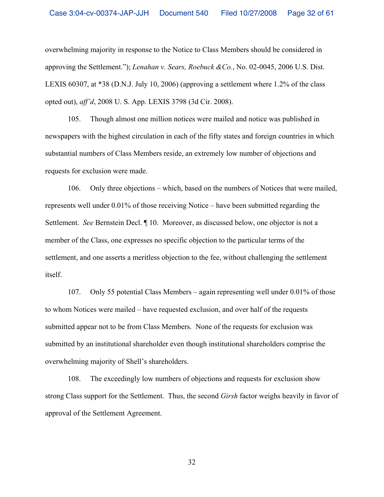overwhelming majority in response to the Notice to Class Members should be considered in approving the Settlement."); *Lenahan v. Sears, Roebuck &Co.*, No. 02-0045, 2006 U.S. Dist. LEXIS 60307, at \*38 (D.N.J. July 10, 2006) (approving a settlement where 1.2% of the class opted out), *aff'd*, 2008 U. S. App. LEXIS 3798 (3d Cir. 2008).

105. Though almost one million notices were mailed and notice was published in newspapers with the highest circulation in each of the fifty states and foreign countries in which substantial numbers of Class Members reside, an extremely low number of objections and requests for exclusion were made.

106. Only three objections – which, based on the numbers of Notices that were mailed, represents well under 0.01% of those receiving Notice – have been submitted regarding the Settlement. *See* Bernstein Decl. ¶ 10. Moreover, as discussed below, one objector is not a member of the Class, one expresses no specific objection to the particular terms of the settlement, and one asserts a meritless objection to the fee, without challenging the settlement itself.

107. Only 55 potential Class Members – again representing well under 0.01% of those to whom Notices were mailed – have requested exclusion, and over half of the requests submitted appear not to be from Class Members. None of the requests for exclusion was submitted by an institutional shareholder even though institutional shareholders comprise the overwhelming majority of Shell's shareholders.

108. The exceedingly low numbers of objections and requests for exclusion show strong Class support for the Settlement. Thus, the second *Girsh* factor weighs heavily in favor of approval of the Settlement Agreement.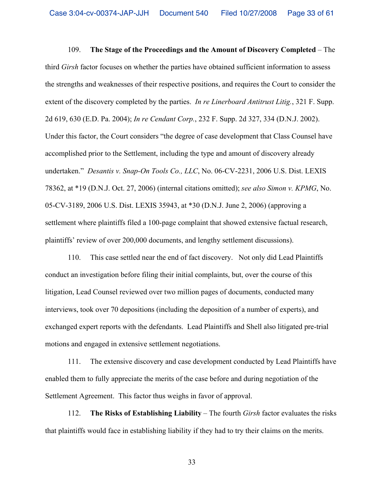109. **The Stage of the Proceedings and the Amount of Discovery Completed** – The third *Girsh* factor focuses on whether the parties have obtained sufficient information to assess the strengths and weaknesses of their respective positions, and requires the Court to consider the extent of the discovery completed by the parties. *In re Linerboard Antitrust Litig.*, 321 F. Supp. 2d 619, 630 (E.D. Pa. 2004); *In re Cendant Corp.*, 232 F. Supp. 2d 327, 334 (D.N.J. 2002). Under this factor, the Court considers "the degree of case development that Class Counsel have accomplished prior to the Settlement, including the type and amount of discovery already undertaken." *Desantis v. Snap-On Tools Co., LLC*, No. 06-CV-2231, 2006 U.S. Dist. LEXIS 78362, at \*19 (D.N.J. Oct. 27, 2006) (internal citations omitted); *see also Simon v. KPMG*, No. 05-CV-3189, 2006 U.S. Dist. LEXIS 35943, at \*30 (D.N.J. June 2, 2006) (approving a settlement where plaintiffs filed a 100-page complaint that showed extensive factual research, plaintiffs' review of over 200,000 documents, and lengthy settlement discussions).

110. This case settled near the end of fact discovery. Not only did Lead Plaintiffs conduct an investigation before filing their initial complaints, but, over the course of this litigation, Lead Counsel reviewed over two million pages of documents, conducted many interviews, took over 70 depositions (including the deposition of a number of experts), and exchanged expert reports with the defendants. Lead Plaintiffs and Shell also litigated pre-trial motions and engaged in extensive settlement negotiations.

111. The extensive discovery and case development conducted by Lead Plaintiffs have enabled them to fully appreciate the merits of the case before and during negotiation of the Settlement Agreement. This factor thus weighs in favor of approval.

112. **The Risks of Establishing Liability** – The fourth *Girsh* factor evaluates the risks that plaintiffs would face in establishing liability if they had to try their claims on the merits.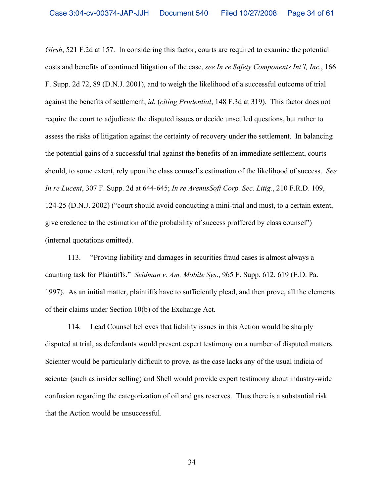*Girsh*, 521 F.2d at 157. In considering this factor, courts are required to examine the potential costs and benefits of continued litigation of the case, *see In re Safety Components Int'l, Inc.*, 166 F. Supp. 2d 72, 89 (D.N.J. 2001), and to weigh the likelihood of a successful outcome of trial against the benefits of settlement, *id.* (*citing Prudential*, 148 F.3d at 319). This factor does not require the court to adjudicate the disputed issues or decide unsettled questions, but rather to assess the risks of litigation against the certainty of recovery under the settlement. In balancing the potential gains of a successful trial against the benefits of an immediate settlement, courts should, to some extent, rely upon the class counsel's estimation of the likelihood of success. *See In re Lucent*, 307 F. Supp. 2d at 644-645; *In re AremisSoft Corp. Sec. Litig.*, 210 F.R.D. 109, 124-25 (D.N.J. 2002) ("court should avoid conducting a mini-trial and must, to a certain extent, give credence to the estimation of the probability of success proffered by class counsel") (internal quotations omitted).

113. "Proving liability and damages in securities fraud cases is almost always a daunting task for Plaintiffs." *Seidman v. Am. Mobile Sys*., 965 F. Supp. 612, 619 (E.D. Pa. 1997).As an initial matter, plaintiffs have to sufficiently plead, and then prove, all the elements of their claims under Section 10(b) of the Exchange Act.

114. Lead Counsel believes that liability issues in this Action would be sharply disputed at trial, as defendants would present expert testimony on a number of disputed matters. Scienter would be particularly difficult to prove, as the case lacks any of the usual indicia of scienter (such as insider selling) and Shell would provide expert testimony about industry-wide confusion regarding the categorization of oil and gas reserves. Thus there is a substantial risk that the Action would be unsuccessful.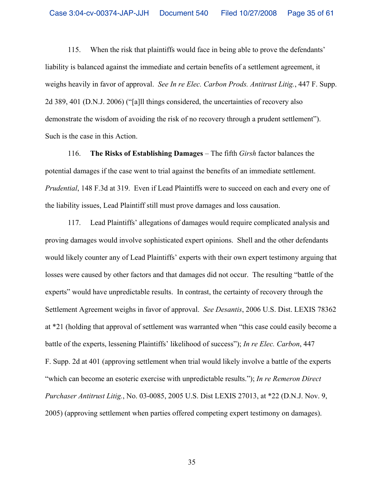115. When the risk that plaintiffs would face in being able to prove the defendants' liability is balanced against the immediate and certain benefits of a settlement agreement, it weighs heavily in favor of approval. *See In re Elec. Carbon Prods. Antitrust Litig.*, 447 F. Supp. 2d 389, 401 (D.N.J. 2006) ("[a]ll things considered, the uncertainties of recovery also demonstrate the wisdom of avoiding the risk of no recovery through a prudent settlement"). Such is the case in this Action.

116. **The Risks of Establishing Damages** – The fifth *Girsh* factor balances the potential damages if the case went to trial against the benefits of an immediate settlement. *Prudential*, 148 F.3d at 319. Even if Lead Plaintiffs were to succeed on each and every one of the liability issues, Lead Plaintiff still must prove damages and loss causation.

117. Lead Plaintiffs' allegations of damages would require complicated analysis and proving damages would involve sophisticated expert opinions. Shell and the other defendants would likely counter any of Lead Plaintiffs' experts with their own expert testimony arguing that losses were caused by other factors and that damages did not occur. The resulting "battle of the experts" would have unpredictable results. In contrast, the certainty of recovery through the Settlement Agreement weighs in favor of approval. *See Desantis*, 2006 U.S. Dist. LEXIS 78362 at \*21 (holding that approval of settlement was warranted when "this case could easily become a battle of the experts, lessening Plaintiffs' likelihood of success"); *In re Elec. Carbon*, 447 F. Supp. 2d at 401 (approving settlement when trial would likely involve a battle of the experts "which can become an esoteric exercise with unpredictable results."); *In re Remeron Direct Purchaser Antitrust Litig.*, No. 03-0085, 2005 U.S. Dist LEXIS 27013, at \*22 (D.N.J. Nov. 9, 2005) (approving settlement when parties offered competing expert testimony on damages).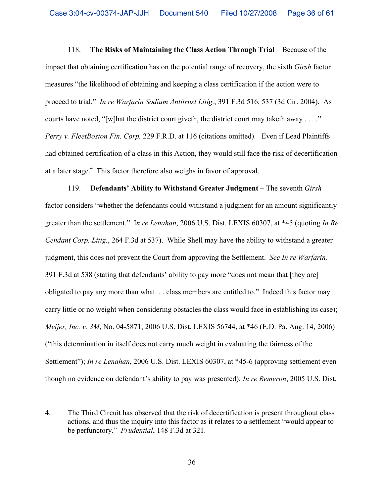118. **The Risks of Maintaining the Class Action Through Trial** – Because of the impact that obtaining certification has on the potential range of recovery, the sixth *Girsh* factor measures "the likelihood of obtaining and keeping a class certification if the action were to proceed to trial." *In re Warfarin Sodium Antitrust Litig.*, 391 F.3d 516, 537 (3d Cir. 2004). As courts have noted, "[w]hat the district court giveth, the district court may taketh away . . . ." *Perry v. FleetBoston Fin. Corp,* 229 F.R.D. at 116 (citations omitted). Even if Lead Plaintiffs had obtained certification of a class in this Action, they would still face the risk of decertification at a later stage. $4$  This factor therefore also weighs in favor of approval.

119. **Defendants' Ability to Withstand Greater Judgment** – The seventh *Girsh* factor considers "whether the defendants could withstand a judgment for an amount significantly greater than the settlement." I*n re Lenahan*, 2006 U.S. Dist. LEXIS 60307, at \*45 (quoting *In Re Cendant Corp. Litig.*, 264 F.3d at 537). While Shell may have the ability to withstand a greater judgment, this does not prevent the Court from approving the Settlement. *See In re Warfarin,* 391 F.3d at 538 (stating that defendants' ability to pay more "does not mean that [they are] obligated to pay any more than what. . . class members are entitled to." Indeed this factor may carry little or no weight when considering obstacles the class would face in establishing its case); *Meijer, Inc. v. 3M*, No. 04-5871, 2006 U.S. Dist. LEXIS 56744, at \*46 (E.D. Pa. Aug. 14, 2006) ("this determination in itself does not carry much weight in evaluating the fairness of the Settlement"); *In re Lenahan*, 2006 U.S. Dist. LEXIS 60307, at \*45-6 (approving settlement even though no evidence on defendant's ability to pay was presented); *In re Remeron*, 2005 U.S. Dist.

<sup>4.</sup> The Third Circuit has observed that the risk of decertification is present throughout class actions, and thus the inquiry into this factor as it relates to a settlement "would appear to be perfunctory." *Prudential*, 148 F.3d at 321.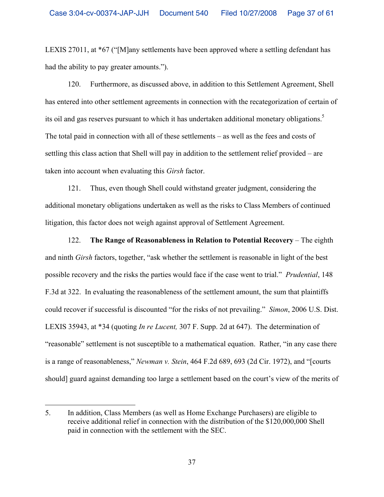LEXIS 27011, at \*67 ("[M]any settlements have been approved where a settling defendant has had the ability to pay greater amounts.").

120. Furthermore, as discussed above, in addition to this Settlement Agreement, Shell has entered into other settlement agreements in connection with the recategorization of certain of its oil and gas reserves pursuant to which it has undertaken additional monetary obligations.<sup>5</sup> The total paid in connection with all of these settlements – as well as the fees and costs of settling this class action that Shell will pay in addition to the settlement relief provided – are taken into account when evaluating this *Girsh* factor.

121. Thus, even though Shell could withstand greater judgment, considering the additional monetary obligations undertaken as well as the risks to Class Members of continued litigation, this factor does not weigh against approval of Settlement Agreement.

122. **The Range of Reasonableness in Relation to Potential Recovery** – The eighth and ninth *Girsh* factors, together, "ask whether the settlement is reasonable in light of the best possible recovery and the risks the parties would face if the case went to trial." *Prudential*, 148 F.3d at 322. In evaluating the reasonableness of the settlement amount, the sum that plaintiffs could recover if successful is discounted "for the risks of not prevailing." *Simon*, 2006 U.S. Dist. LEXIS 35943, at \*34 (quoting *In re Lucent,* 307 F. Supp. 2d at 647). The determination of "reasonable" settlement is not susceptible to a mathematical equation. Rather, "in any case there is a range of reasonableness," *Newman v. Stein*, 464 F.2d 689, 693 (2d Cir. 1972), and "[courts should] guard against demanding too large a settlement based on the court's view of the merits of

<sup>5.</sup> In addition, Class Members (as well as Home Exchange Purchasers) are eligible to receive additional relief in connection with the distribution of the \$120,000,000 Shell paid in connection with the settlement with the SEC.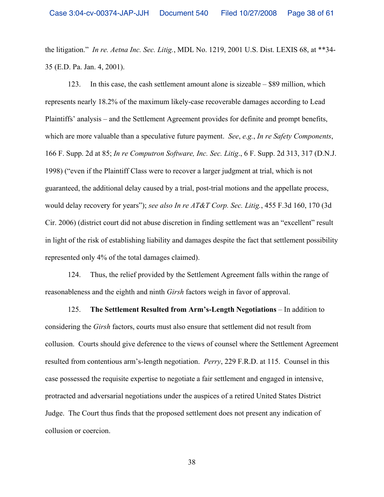the litigation." *In re. Aetna Inc. Sec. Litig.*, MDL No. 1219, 2001 U.S. Dist. LEXIS 68, at \*\*34- 35 (E.D. Pa. Jan. 4, 2001).

123. In this case, the cash settlement amount alone is sizeable – \$89 million, which represents nearly 18.2% of the maximum likely-case recoverable damages according to Lead Plaintiffs' analysis – and the Settlement Agreement provides for definite and prompt benefits, which are more valuable than a speculative future payment. *See*, *e.g.*, *In re Safety Components*, 166 F. Supp. 2d at 85; *In re Computron Software, Inc. Sec. Litig*., 6 F. Supp. 2d 313, 317 (D.N.J. 1998) ("even if the Plaintiff Class were to recover a larger judgment at trial, which is not guaranteed, the additional delay caused by a trial, post-trial motions and the appellate process, would delay recovery for years"); *see also In re AT&T Corp. Sec. Litig.*, 455 F.3d 160, 170 (3d Cir. 2006) (district court did not abuse discretion in finding settlement was an "excellent" result in light of the risk of establishing liability and damages despite the fact that settlement possibility represented only 4% of the total damages claimed).

124. Thus, the relief provided by the Settlement Agreement falls within the range of reasonableness and the eighth and ninth *Girsh* factors weigh in favor of approval.

125. **The Settlement Resulted from Arm's-Length Negotiations** – In addition to considering the *Girsh* factors, courts must also ensure that settlement did not result from collusion. Courts should give deference to the views of counsel where the Settlement Agreement resulted from contentious arm's-length negotiation. *Perry*, 229 F.R.D. at 115. Counsel in this case possessed the requisite expertise to negotiate a fair settlement and engaged in intensive, protracted and adversarial negotiations under the auspices of a retired United States District Judge. The Court thus finds that the proposed settlement does not present any indication of collusion or coercion.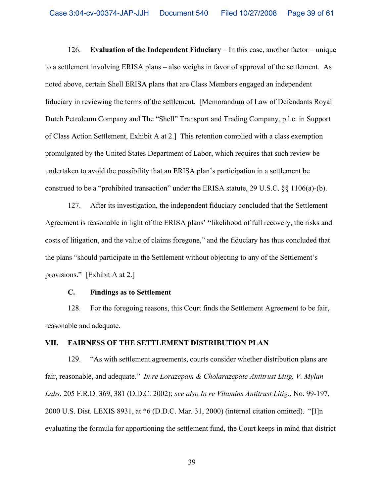126. **Evaluation of the Independent Fiduciary** – In this case, another factor – unique to a settlement involving ERISA plans – also weighs in favor of approval of the settlement. As noted above, certain Shell ERISA plans that are Class Members engaged an independent fiduciary in reviewing the terms of the settlement. [Memorandum of Law of Defendants Royal Dutch Petroleum Company and The "Shell" Transport and Trading Company, p.l.c. in Support of Class Action Settlement, Exhibit A at 2.] This retention complied with a class exemption promulgated by the United States Department of Labor, which requires that such review be undertaken to avoid the possibility that an ERISA plan's participation in a settlement be construed to be a "prohibited transaction" under the ERISA statute, 29 U.S.C. §§ 1106(a)-(b).

127. After its investigation, the independent fiduciary concluded that the Settlement Agreement is reasonable in light of the ERISA plans' "likelihood of full recovery, the risks and costs of litigation, and the value of claims foregone," and the fiduciary has thus concluded that the plans "should participate in the Settlement without objecting to any of the Settlement's provisions." [Exhibit A at 2.]

### **C. Findings as to Settlement**

128. For the foregoing reasons, this Court finds the Settlement Agreement to be fair, reasonable and adequate.

### **VII. FAIRNESS OF THE SETTLEMENT DISTRIBUTION PLAN**

129. "As with settlement agreements, courts consider whether distribution plans are fair, reasonable, and adequate." *In re Lorazepam & Cholarazepate Antitrust Litig. V. Mylan Labs*, 205 F.R.D. 369, 381 (D.D.C. 2002); *see also In re Vitamins Antitrust Litig.*, No. 99-197, 2000 U.S. Dist. LEXIS 8931, at \*6 (D.D.C. Mar. 31, 2000) (internal citation omitted). "[I]n evaluating the formula for apportioning the settlement fund, the Court keeps in mind that district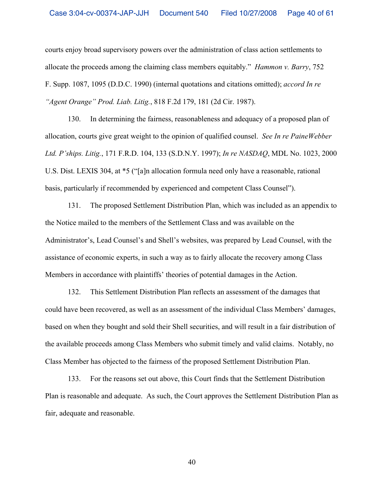courts enjoy broad supervisory powers over the administration of class action settlements to allocate the proceeds among the claiming class members equitably." *Hammon v. Barry*, 752 F. Supp. 1087, 1095 (D.D.C. 1990) (internal quotations and citations omitted); *accord In re "Agent Orange" Prod. Liab. Litig.*, 818 F.2d 179, 181 (2d Cir. 1987).

130. In determining the fairness, reasonableness and adequacy of a proposed plan of allocation, courts give great weight to the opinion of qualified counsel. *See In re PaineWebber Ltd. P'ships. Litig.*, 171 F.R.D. 104, 133 (S.D.N.Y. 1997); *In re NASDAQ*, MDL No. 1023, 2000 U.S. Dist. LEXIS 304, at \*5 ("[a]n allocation formula need only have a reasonable, rational basis, particularly if recommended by experienced and competent Class Counsel").

131. The proposed Settlement Distribution Plan, which was included as an appendix to the Notice mailed to the members of the Settlement Class and was available on the Administrator's, Lead Counsel's and Shell's websites, was prepared by Lead Counsel, with the assistance of economic experts, in such a way as to fairly allocate the recovery among Class Members in accordance with plaintiffs' theories of potential damages in the Action.

132. This Settlement Distribution Plan reflects an assessment of the damages that could have been recovered, as well as an assessment of the individual Class Members' damages, based on when they bought and sold their Shell securities, and will result in a fair distribution of the available proceeds among Class Members who submit timely and valid claims. Notably, no Class Member has objected to the fairness of the proposed Settlement Distribution Plan.

133. For the reasons set out above, this Court finds that the Settlement Distribution Plan is reasonable and adequate. As such, the Court approves the Settlement Distribution Plan as fair, adequate and reasonable.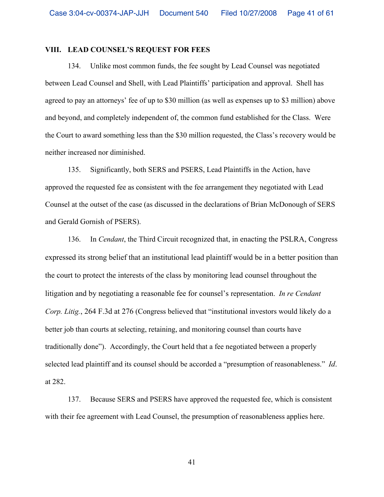### **VIII. LEAD COUNSEL'S REQUEST FOR FEES**

134. Unlike most common funds, the fee sought by Lead Counsel was negotiated between Lead Counsel and Shell, with Lead Plaintiffs' participation and approval. Shell has agreed to pay an attorneys' fee of up to \$30 million (as well as expenses up to \$3 million) above and beyond, and completely independent of, the common fund established for the Class. Were the Court to award something less than the \$30 million requested, the Class's recovery would be neither increased nor diminished.

135. Significantly, both SERS and PSERS, Lead Plaintiffs in the Action, have approved the requested fee as consistent with the fee arrangement they negotiated with Lead Counsel at the outset of the case (as discussed in the declarations of Brian McDonough of SERS and Gerald Gornish of PSERS).

136. In *Cendant*, the Third Circuit recognized that, in enacting the PSLRA, Congress expressed its strong belief that an institutional lead plaintiff would be in a better position than the court to protect the interests of the class by monitoring lead counsel throughout the litigation and by negotiating a reasonable fee for counsel's representation. *In re Cendant Corp. Litig.*, 264 F.3d at 276 (Congress believed that "institutional investors would likely do a better job than courts at selecting, retaining, and monitoring counsel than courts have traditionally done"). Accordingly, the Court held that a fee negotiated between a properly selected lead plaintiff and its counsel should be accorded a "presumption of reasonableness." *Id*. at 282.

137. Because SERS and PSERS have approved the requested fee, which is consistent with their fee agreement with Lead Counsel, the presumption of reasonableness applies here.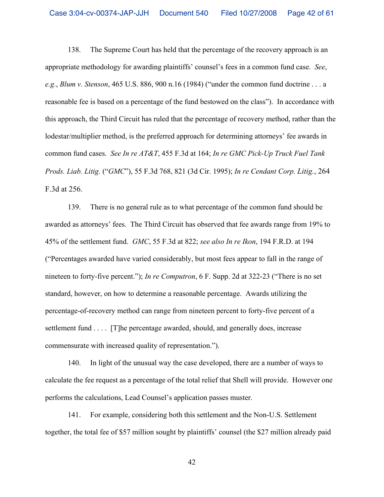138. The Supreme Court has held that the percentage of the recovery approach is an appropriate methodology for awarding plaintiffs' counsel's fees in a common fund case. *See*, *e.g.*, *Blum v. Stenson*, 465 U.S. 886, 900 n.16 (1984) ("under the common fund doctrine . . . a reasonable fee is based on a percentage of the fund bestowed on the class"). In accordance with this approach, the Third Circuit has ruled that the percentage of recovery method, rather than the lodestar/multiplier method, is the preferred approach for determining attorneys' fee awards in common fund cases. *See In re AT&T*, 455 F.3d at 164; *In re GMC Pick-Up Truck Fuel Tank Prods. Liab. Litig.* ("*GMC*"), 55 F.3d 768, 821 (3d Cir. 1995); *In re Cendant Corp. Litig.*, 264 F.3d at 256.

139. There is no general rule as to what percentage of the common fund should be awarded as attorneys' fees. The Third Circuit has observed that fee awards range from 19% to 45% of the settlement fund. *GMC*, 55 F.3d at 822; *see also In re Ikon*, 194 F.R.D. at 194 ("Percentages awarded have varied considerably, but most fees appear to fall in the range of nineteen to forty-five percent."); *In re Computron*, 6 F. Supp. 2d at 322-23 ("There is no set standard, however, on how to determine a reasonable percentage. Awards utilizing the percentage-of-recovery method can range from nineteen percent to forty-five percent of a settlement fund . . . . [T]he percentage awarded, should, and generally does, increase commensurate with increased quality of representation.").

140. In light of the unusual way the case developed, there are a number of ways to calculate the fee request as a percentage of the total relief that Shell will provide. However one performs the calculations, Lead Counsel's application passes muster.

141. For example, considering both this settlement and the Non-U.S. Settlement together, the total fee of \$57 million sought by plaintiffs' counsel (the \$27 million already paid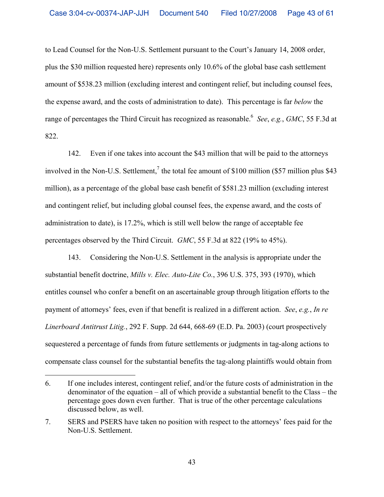to Lead Counsel for the Non-U.S. Settlement pursuant to the Court's January 14, 2008 order, plus the \$30 million requested here) represents only 10.6% of the global base cash settlement amount of \$538.23 million (excluding interest and contingent relief, but including counsel fees, the expense award, and the costs of administration to date). This percentage is far *below* the range of percentages the Third Circuit has recognized as reasonable.6 *See*, *e.g.*, *GMC*, 55 F.3d at 822.

142. Even if one takes into account the \$43 million that will be paid to the attorneys involved in the Non-U.S. Settlement,<sup>7</sup> the total fee amount of \$100 million (\$57 million plus \$43) million), as a percentage of the global base cash benefit of \$581.23 million (excluding interest and contingent relief, but including global counsel fees, the expense award, and the costs of administration to date), is 17.2%, which is still well below the range of acceptable fee percentages observed by the Third Circuit. *GMC*, 55 F.3d at 822 (19% to 45%).

143. Considering the Non-U.S. Settlement in the analysis is appropriate under the substantial benefit doctrine, *Mills v. Elec. Auto-Lite Co.*, 396 U.S. 375, 393 (1970), which entitles counsel who confer a benefit on an ascertainable group through litigation efforts to the payment of attorneys' fees, even if that benefit is realized in a different action. *See*, *e.g.*, *In re Linerboard Antitrust Litig.*, 292 F. Supp. 2d 644, 668-69 (E.D. Pa. 2003) (court prospectively sequestered a percentage of funds from future settlements or judgments in tag-along actions to compensate class counsel for the substantial benefits the tag-along plaintiffs would obtain from

 $\overline{a}$ 

<sup>6.</sup> If one includes interest, contingent relief, and/or the future costs of administration in the denominator of the equation – all of which provide a substantial benefit to the Class – the percentage goes down even further. That is true of the other percentage calculations discussed below, as well.

<sup>7.</sup> SERS and PSERS have taken no position with respect to the attorneys' fees paid for the Non-U.S. Settlement.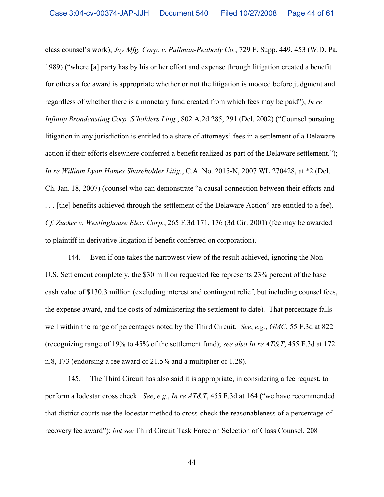class counsel's work); *Joy Mfg. Corp. v. Pullman-Peabody Co.*, 729 F. Supp. 449, 453 (W.D. Pa. 1989) ("where [a] party has by his or her effort and expense through litigation created a benefit for others a fee award is appropriate whether or not the litigation is mooted before judgment and regardless of whether there is a monetary fund created from which fees may be paid"); *In re Infinity Broadcasting Corp. S'holders Litig.*, 802 A.2d 285, 291 (Del. 2002) ("Counsel pursuing litigation in any jurisdiction is entitled to a share of attorneys' fees in a settlement of a Delaware action if their efforts elsewhere conferred a benefit realized as part of the Delaware settlement."); *In re William Lyon Homes Shareholder Litig.*, C.A. No. 2015-N, 2007 WL 270428, at \*2 (Del. Ch. Jan. 18, 2007) (counsel who can demonstrate "a causal connection between their efforts and . . . [the] benefits achieved through the settlement of the Delaware Action" are entitled to a fee). *Cf. Zucker v. Westinghouse Elec. Corp.*, 265 F.3d 171, 176 (3d Cir. 2001) (fee may be awarded to plaintiff in derivative litigation if benefit conferred on corporation).

144. Even if one takes the narrowest view of the result achieved, ignoring the Non-U.S. Settlement completely, the \$30 million requested fee represents 23% percent of the base cash value of \$130.3 million (excluding interest and contingent relief, but including counsel fees, the expense award, and the costs of administering the settlement to date). That percentage falls well within the range of percentages noted by the Third Circuit. *See*, *e.g.*, *GMC*, 55 F.3d at 822 (recognizing range of 19% to 45% of the settlement fund); *see also In re AT&T*, 455 F.3d at 172 n.8, 173 (endorsing a fee award of 21.5% and a multiplier of 1.28).

145. The Third Circuit has also said it is appropriate, in considering a fee request, to perform a lodestar cross check. *See*, *e.g.*, *In re AT&T*, 455 F.3d at 164 ("we have recommended that district courts use the lodestar method to cross-check the reasonableness of a percentage-ofrecovery fee award"); *but see* Third Circuit Task Force on Selection of Class Counsel, 208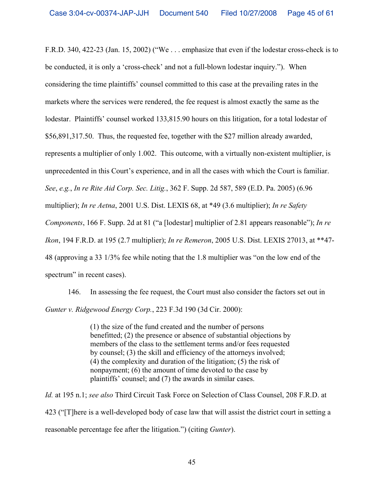F.R.D. 340, 422-23 (Jan. 15, 2002) ("We . . . emphasize that even if the lodestar cross-check is to be conducted, it is only a 'cross-check' and not a full-blown lodestar inquiry."). When considering the time plaintiffs' counsel committed to this case at the prevailing rates in the markets where the services were rendered, the fee request is almost exactly the same as the lodestar. Plaintiffs' counsel worked 133,815.90 hours on this litigation, for a total lodestar of \$56,891,317.50. Thus, the requested fee, together with the \$27 million already awarded, represents a multiplier of only 1.002. This outcome, with a virtually non-existent multiplier, is unprecedented in this Court's experience, and in all the cases with which the Court is familiar. *See*, *e.g.*, *In re Rite Aid Corp. Sec. Litig.*, 362 F. Supp. 2d 587, 589 (E.D. Pa. 2005) (6.96 multiplier); *In re Aetna*, 2001 U.S. Dist. LEXIS 68, at \*49 (3.6 multiplier); *In re Safety Components*, 166 F. Supp. 2d at 81 ("a [lodestar] multiplier of 2.81 appears reasonable"); *In re Ikon*, 194 F.R.D. at 195 (2.7 multiplier); *In re Remeron*, 2005 U.S. Dist. LEXIS 27013, at \*\*47- 48 (approving a 33 1/3% fee while noting that the 1.8 multiplier was "on the low end of the spectrum" in recent cases).

146. In assessing the fee request, the Court must also consider the factors set out in *Gunter v. Ridgewood Energy Corp.*, 223 F.3d 190 (3d Cir. 2000):

> (1) the size of the fund created and the number of persons benefitted; (2) the presence or absence of substantial objections by members of the class to the settlement terms and/or fees requested by counsel; (3) the skill and efficiency of the attorneys involved; (4) the complexity and duration of the litigation; (5) the risk of nonpayment; (6) the amount of time devoted to the case by plaintiffs' counsel; and (7) the awards in similar cases.

*Id.* at 195 n.1; *see also* Third Circuit Task Force on Selection of Class Counsel, 208 F.R.D. at 423 ("[T]here is a well-developed body of case law that will assist the district court in setting a reasonable percentage fee after the litigation.") (citing *Gunter*).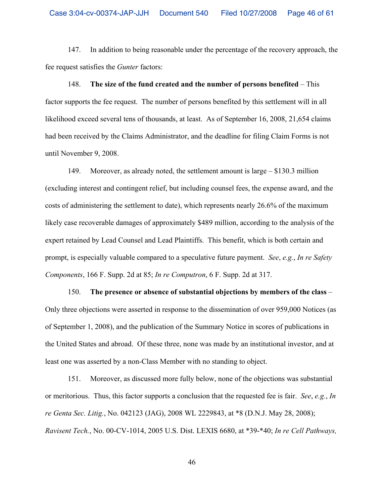147. In addition to being reasonable under the percentage of the recovery approach, the fee request satisfies the *Gunter* factors:

148. **The size of the fund created and the number of persons benefited** – This factor supports the fee request. The number of persons benefited by this settlement will in all likelihood exceed several tens of thousands, at least. As of September 16, 2008, 21,654 claims had been received by the Claims Administrator, and the deadline for filing Claim Forms is not until November 9, 2008.

149. Moreover, as already noted, the settlement amount is large – \$130.3 million (excluding interest and contingent relief, but including counsel fees, the expense award, and the costs of administering the settlement to date), which represents nearly 26.6% of the maximum likely case recoverable damages of approximately \$489 million, according to the analysis of the expert retained by Lead Counsel and Lead Plaintiffs. This benefit, which is both certain and prompt, is especially valuable compared to a speculative future payment. *See*, *e.g.*, *In re Safety Components*, 166 F. Supp. 2d at 85; *In re Computron*, 6 F. Supp. 2d at 317.

150. **The presence or absence of substantial objections by members of the class** – Only three objections were asserted in response to the dissemination of over 959,000 Notices (as of September 1, 2008), and the publication of the Summary Notice in scores of publications in the United States and abroad. Of these three, none was made by an institutional investor, and at least one was asserted by a non-Class Member with no standing to object.

151. Moreover, as discussed more fully below, none of the objections was substantial or meritorious. Thus, this factor supports a conclusion that the requested fee is fair. *See*, *e.g.*, *In re Genta Sec. Litig.*, No. 042123 (JAG), 2008 WL 2229843, at \*8 (D.N.J. May 28, 2008); *Ravisent Tech.*, No. 00-CV-1014, 2005 U.S. Dist. LEXIS 6680, at \*39-\*40; *In re Cell Pathways,*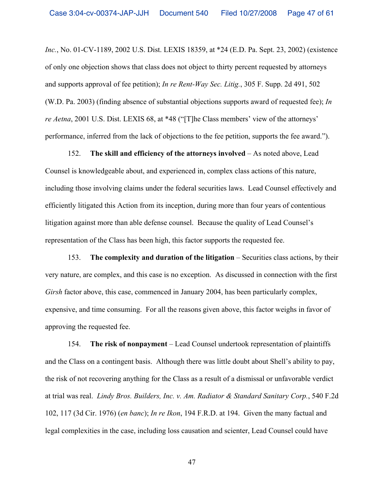*Inc.*, No. 01-CV-1189, 2002 U.S. Dist. LEXIS 18359, at \*24 (E.D. Pa. Sept. 23, 2002) (existence of only one objection shows that class does not object to thirty percent requested by attorneys and supports approval of fee petition); *In re Rent-Way Sec. Litig.*, 305 F. Supp. 2d 491, 502 (W.D. Pa. 2003) (finding absence of substantial objections supports award of requested fee); *In re Aetna*, 2001 U.S. Dist. LEXIS 68, at \*48 ("[T]he Class members' view of the attorneys' performance, inferred from the lack of objections to the fee petition, supports the fee award.").

152. **The skill and efficiency of the attorneys involved** – As noted above, Lead Counsel is knowledgeable about, and experienced in, complex class actions of this nature, including those involving claims under the federal securities laws. Lead Counsel effectively and efficiently litigated this Action from its inception, during more than four years of contentious litigation against more than able defense counsel. Because the quality of Lead Counsel's representation of the Class has been high, this factor supports the requested fee.

153. **The complexity and duration of the litigation** – Securities class actions, by their very nature, are complex, and this case is no exception. As discussed in connection with the first *Girsh* factor above, this case, commenced in January 2004, has been particularly complex, expensive, and time consuming. For all the reasons given above, this factor weighs in favor of approving the requested fee.

154. **The risk of nonpayment** – Lead Counsel undertook representation of plaintiffs and the Class on a contingent basis. Although there was little doubt about Shell's ability to pay, the risk of not recovering anything for the Class as a result of a dismissal or unfavorable verdict at trial was real. *Lindy Bros. Builders, Inc. v. Am. Radiator & Standard Sanitary Corp.*, 540 F.2d 102, 117 (3d Cir. 1976) (*en banc*); *In re Ikon*, 194 F.R.D. at 194. Given the many factual and legal complexities in the case, including loss causation and scienter, Lead Counsel could have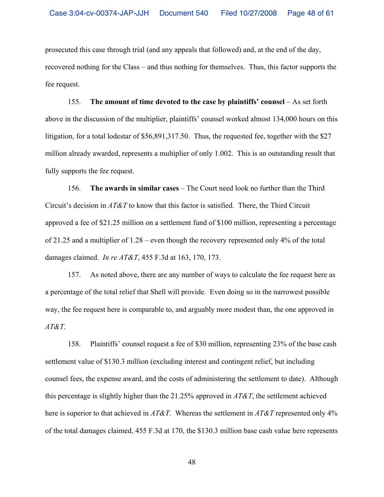prosecuted this case through trial (and any appeals that followed) and, at the end of the day, recovered nothing for the Class – and thus nothing for themselves. Thus, this factor supports the fee request.

155. **The amount of time devoted to the case by plaintiffs' counsel** – As set forth above in the discussion of the multiplier, plaintiffs' counsel worked almost 134,000 hours on this litigation, for a total lodestar of \$56,891,317.50. Thus, the requested fee, together with the \$27 million already awarded, represents a multiplier of only 1.002. This is an outstanding result that fully supports the fee request.

156. **The awards in similar cases** – The Court need look no further than the Third Circuit's decision in *AT&T* to know that this factor is satisfied. There, the Third Circuit approved a fee of \$21.25 million on a settlement fund of \$100 million, representing a percentage of 21.25 and a multiplier of 1.28 – even though the recovery represented only 4% of the total damages claimed. *In re AT&T*, 455 F.3d at 163, 170, 173.

157. As noted above, there are any number of ways to calculate the fee request here as a percentage of the total relief that Shell will provide. Even doing so in the narrowest possible way, the fee request here is comparable to, and arguably more modest than, the one approved in *AT&T*.

158. Plaintiffs' counsel request a fee of \$30 million, representing 23% of the base cash settlement value of \$130.3 million (excluding interest and contingent relief, but including counsel fees, the expense award, and the costs of administering the settlement to date). Although this percentage is slightly higher than the 21.25% approved in *AT&T*, the settlement achieved here is superior to that achieved in *AT&T*. Whereas the settlement in *AT&T* represented only 4% of the total damages claimed, 455 F.3d at 170, the \$130.3 million base cash value here represents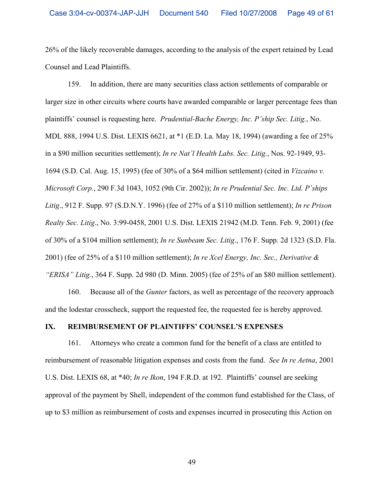26% of the likely recoverable damages, according to the analysis of the expert retained by Lead Counsel and Lead Plaintiffs.

159. In addition, there are many securities class action settlements of comparable or larger size in other circuits where courts have awarded comparable or larger percentage fees than plaintiffs' counsel is requesting here. *Prudential-Bache Energy, Inc. P'ship Sec. Litig.*, No. MDL 888, 1994 U.S. Dist. LEXIS 6621, at \*1 (E.D. La. May 18, 1994) (awarding a fee of 25% in a \$90 million securities settlement); *In re Nat'l Health Labs. Sec. Litig.*, Nos. 92-1949, 93- 1694 (S.D. Cal. Aug. 15, 1995) (fee of 30% of a \$64 million settlement) (cited in *Vizcaino v. Microsoft Corp.*, 290 F.3d 1043, 1052 (9th Cir. 2002)); *In re Prudential Sec. Inc. Ltd. P'ships Litig*., 912 F. Supp. 97 (S.D.N.Y. 1996) (fee of 27% of a \$110 million settlement); *In re Prison Realty Sec. Litig*., No. 3:99-0458, 2001 U.S. Dist. LEXIS 21942 (M.D. Tenn. Feb. 9, 2001) (fee of 30% of a \$104 million settlement); *In re Sunbeam Sec. Litig*., 176 F. Supp. 2d 1323 (S.D. Fla. 2001) (fee of 25% of a \$110 million settlement); *In re Xcel Energy, Inc. Sec., Derivative & "ERISA" Litig.*, 364 F. Supp. 2d 980 (D. Minn. 2005) (fee of 25% of an \$80 million settlement).

160. Because all of the *Gunter* factors, as well as percentage of the recovery approach and the lodestar crosscheck, support the requested fee, the requested fee is hereby approved.

### **IX. REIMBURSEMENT OF PLAINTIFFS' COUNSEL'S EXPENSES**

161. Attorneys who create a common fund for the benefit of a class are entitled to reimbursement of reasonable litigation expenses and costs from the fund. *See In re Aetna*, 2001 U.S. Dist. LEXIS 68, at \*40; *In re Ikon*, 194 F.R.D. at 192. Plaintiffs' counsel are seeking approval of the payment by Shell, independent of the common fund established for the Class, of up to \$3 million as reimbursement of costs and expenses incurred in prosecuting this Action on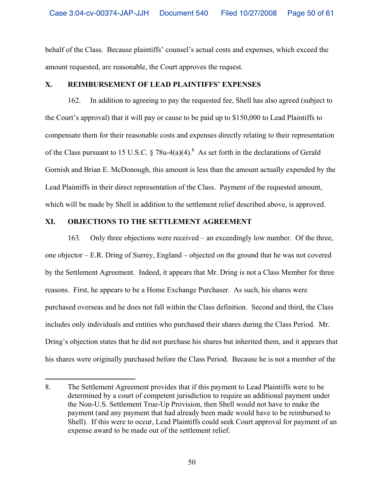behalf of the Class. Because plaintiffs' counsel's actual costs and expenses, which exceed the amount requested, are reasonable, the Court approves the request.

# **X. REIMBURSEMENT OF LEAD PLAINTIFFS' EXPENSES**

162. In addition to agreeing to pay the requested fee, Shell has also agreed (subject to the Court's approval) that it will pay or cause to be paid up to \$150,000 to Lead Plaintiffs to compensate them for their reasonable costs and expenses directly relating to their representation of the Class pursuant to 15 U.S.C.  $\S 78u-4(a)(4)$ .<sup>8</sup> As set forth in the declarations of Gerald Gornish and Brian E. McDonough, this amount is less than the amount actually expended by the Lead Plaintiffs in their direct representation of the Class. Payment of the requested amount, which will be made by Shell in addition to the settlement relief described above, is approved.

# **XI. OBJECTIONS TO THE SETTLEMENT AGREEMENT**

1

163. Only three objections were received – an exceedingly low number. Of the three, one objector – E.R. Dring of Surrey, England – objected on the ground that he was not covered by the Settlement Agreement. Indeed, it appears that Mr. Dring is not a Class Member for three reasons. First, he appears to be a Home Exchange Purchaser. As such, his shares were purchased overseas and he does not fall within the Class definition. Second and third, the Class includes only individuals and entities who purchased their shares during the Class Period. Mr. Dring's objection states that he did not purchase his shares but inherited them, and it appears that his shares were originally purchased before the Class Period. Because he is not a member of the

<sup>8.</sup> The Settlement Agreement provides that if this payment to Lead Plaintiffs were to be determined by a court of competent jurisdiction to require an additional payment under the Non-U.S. Settlement True-Up Provision, then Shell would not have to make the payment (and any payment that had already been made would have to be reimbursed to Shell). If this were to occur, Lead Plaintiffs could seek Court approval for payment of an expense award to be made out of the settlement relief.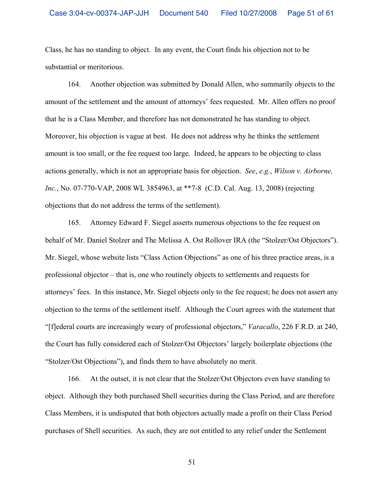Class, he has no standing to object. In any event, the Court finds his objection not to be substantial or meritorious.

164. Another objection was submitted by Donald Allen, who summarily objects to the amount of the settlement and the amount of attorneys' fees requested. Mr. Allen offers no proof that he is a Class Member, and therefore has not demonstrated he has standing to object. Moreover, his objection is vague at best. He does not address why he thinks the settlement amount is too small, or the fee request too large. Indeed, he appears to be objecting to class actions generally, which is not an appropriate basis for objection. *See*, *e.g.*, *Wilson v. Airborne, Inc.*, No. 07-770-VAP, 2008 WL 3854963, at \*\*7-8 (C.D. Cal. Aug. 13, 2008) (rejecting objections that do not address the terms of the settlement).

165. Attorney Edward F. Siegel asserts numerous objections to the fee request on behalf of Mr. Daniel Stolzer and The Melissa A. Ost Rollover IRA (the "Stolzer/Ost Objectors"). Mr. Siegel, whose website lists "Class Action Objections" as one of his three practice areas, is a professional objector – that is, one who routinely objects to settlements and requests for attorneys' fees. In this instance, Mr. Siegel objects only to the fee request; he does not assert any objection to the terms of the settlement itself. Although the Court agrees with the statement that "[f]ederal courts are increasingly weary of professional objectors," *Varacallo*, 226 F.R.D. at 240, the Court has fully considered each of Stolzer/Ost Objectors' largely boilerplate objections (the "Stolzer/Ost Objections"), and finds them to have absolutely no merit.

166. At the outset, it is not clear that the Stolzer/Ost Objectors even have standing to object. Although they both purchased Shell securities during the Class Period, and are therefore Class Members, it is undisputed that both objectors actually made a profit on their Class Period purchases of Shell securities. As such, they are not entitled to any relief under the Settlement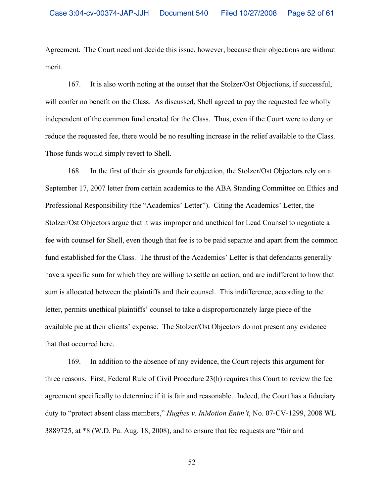Agreement. The Court need not decide this issue, however, because their objections are without merit.

167. It is also worth noting at the outset that the Stolzer/Ost Objections, if successful, will confer no benefit on the Class. As discussed, Shell agreed to pay the requested fee wholly independent of the common fund created for the Class. Thus, even if the Court were to deny or reduce the requested fee, there would be no resulting increase in the relief available to the Class. Those funds would simply revert to Shell.

168. In the first of their six grounds for objection, the Stolzer/Ost Objectors rely on a September 17, 2007 letter from certain academics to the ABA Standing Committee on Ethics and Professional Responsibility (the "Academics' Letter"). Citing the Academics' Letter, the Stolzer/Ost Objectors argue that it was improper and unethical for Lead Counsel to negotiate a fee with counsel for Shell, even though that fee is to be paid separate and apart from the common fund established for the Class. The thrust of the Academics' Letter is that defendants generally have a specific sum for which they are willing to settle an action, and are indifferent to how that sum is allocated between the plaintiffs and their counsel. This indifference, according to the letter, permits unethical plaintiffs' counsel to take a disproportionately large piece of the available pie at their clients' expense. The Stolzer/Ost Objectors do not present any evidence that that occurred here.

169. In addition to the absence of any evidence, the Court rejects this argument for three reasons. First, Federal Rule of Civil Procedure 23(h) requires this Court to review the fee agreement specifically to determine if it is fair and reasonable. Indeed, the Court has a fiduciary duty to "protect absent class members," *Hughes v. InMotion Entm't*, No. 07-CV-1299, 2008 WL 3889725, at \*8 (W.D. Pa. Aug. 18, 2008), and to ensure that fee requests are "fair and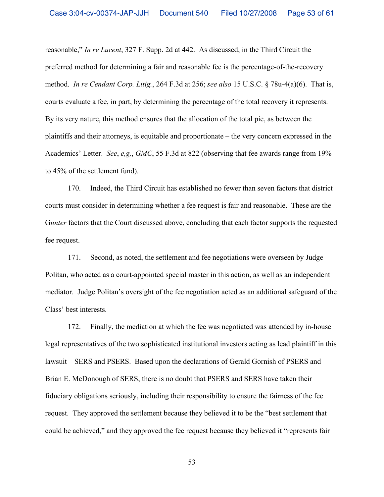reasonable," *In re Lucent*, 327 F. Supp. 2d at 442. As discussed, in the Third Circuit the preferred method for determining a fair and reasonable fee is the percentage-of-the-recovery method. *In re Cendant Corp. Litig.*, 264 F.3d at 256; *see also* 15 U.S.C. § 78u-4(a)(6). That is, courts evaluate a fee, in part, by determining the percentage of the total recovery it represents. By its very nature, this method ensures that the allocation of the total pie, as between the plaintiffs and their attorneys, is equitable and proportionate – the very concern expressed in the Academics' Letter. *See*, *e,g,*, *GMC*, 55 F.3d at 822 (observing that fee awards range from 19% to 45% of the settlement fund).

170. Indeed, the Third Circuit has established no fewer than seven factors that district courts must consider in determining whether a fee request is fair and reasonable. These are the G*unter* factors that the Court discussed above, concluding that each factor supports the requested fee request.

171. Second, as noted, the settlement and fee negotiations were overseen by Judge Politan, who acted as a court-appointed special master in this action, as well as an independent mediator. Judge Politan's oversight of the fee negotiation acted as an additional safeguard of the Class' best interests.

172. Finally, the mediation at which the fee was negotiated was attended by in-house legal representatives of the two sophisticated institutional investors acting as lead plaintiff in this lawsuit – SERS and PSERS. Based upon the declarations of Gerald Gornish of PSERS and Brian E. McDonough of SERS, there is no doubt that PSERS and SERS have taken their fiduciary obligations seriously, including their responsibility to ensure the fairness of the fee request. They approved the settlement because they believed it to be the "best settlement that could be achieved," and they approved the fee request because they believed it "represents fair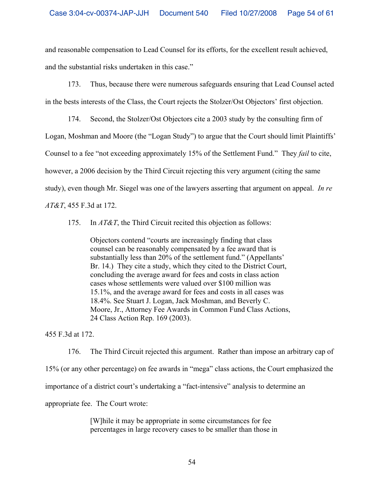and reasonable compensation to Lead Counsel for its efforts, for the excellent result achieved, and the substantial risks undertaken in this case."

173. Thus, because there were numerous safeguards ensuring that Lead Counsel acted in the bests interests of the Class, the Court rejects the Stolzer/Ost Objectors' first objection.

174. Second, the Stolzer/Ost Objectors cite a 2003 study by the consulting firm of Logan, Moshman and Moore (the "Logan Study") to argue that the Court should limit Plaintiffs' Counsel to a fee "not exceeding approximately 15% of the Settlement Fund." They *fail* to cite, however, a 2006 decision by the Third Circuit rejecting this very argument (citing the same study), even though Mr. Siegel was one of the lawyers asserting that argument on appeal. *In re AT&T*, 455 F.3d at 172.

175. In *AT&T*, the Third Circuit recited this objection as follows:

Objectors contend "courts are increasingly finding that class counsel can be reasonably compensated by a fee award that is substantially less than 20% of the settlement fund." (Appellants' Br. 14.) They cite a study, which they cited to the District Court, concluding the average award for fees and costs in class action cases whose settlements were valued over \$100 million was 15.1%, and the average award for fees and costs in all cases was 18.4%. See Stuart J. Logan, Jack Moshman, and Beverly C. Moore, Jr., Attorney Fee Awards in Common Fund Class Actions, 24 Class Action Rep. 169 (2003).

455 F.3d at 172.

176. The Third Circuit rejected this argument. Rather than impose an arbitrary cap of 15% (or any other percentage) on fee awards in "mega" class actions, the Court emphasized the importance of a district court's undertaking a "fact-intensive" analysis to determine an appropriate fee. The Court wrote:

> [W]hile it may be appropriate in some circumstances for fee percentages in large recovery cases to be smaller than those in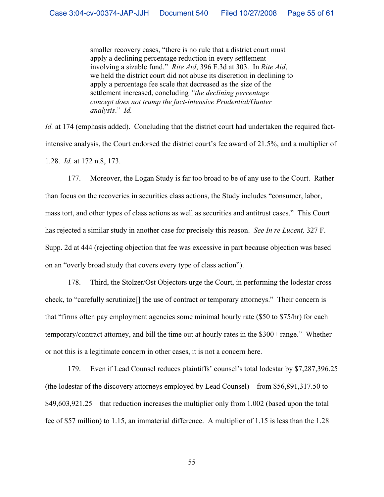smaller recovery cases, "there is no rule that a district court must apply a declining percentage reduction in every settlement involving a sizable fund." *Rite Aid*, 396 F.3d at 303. In *Rite Aid*, we held the district court did not abuse its discretion in declining to apply a percentage fee scale that decreased as the size of the settlement increased, concluding *"the declining percentage concept does not trump the fact-intensive Prudential/Gunter analysis*." *Id.*

*Id.* at 174 (emphasis added). Concluding that the district court had undertaken the required factintensive analysis, the Court endorsed the district court's fee award of 21.5%, and a multiplier of 1.28. *Id.* at 172 n.8, 173.

177. Moreover, the Logan Study is far too broad to be of any use to the Court. Rather than focus on the recoveries in securities class actions, the Study includes "consumer, labor, mass tort, and other types of class actions as well as securities and antitrust cases." This Court has rejected a similar study in another case for precisely this reason. *See In re Lucent,* 327 F. Supp. 2d at 444 (rejecting objection that fee was excessive in part because objection was based on an "overly broad study that covers every type of class action").

178. Third, the Stolzer/Ost Objectors urge the Court, in performing the lodestar cross check, to "carefully scrutinize[] the use of contract or temporary attorneys." Their concern is that "firms often pay employment agencies some minimal hourly rate (\$50 to \$75/hr) for each temporary/contract attorney, and bill the time out at hourly rates in the \$300+ range." Whether or not this is a legitimate concern in other cases, it is not a concern here.

179. Even if Lead Counsel reduces plaintiffs' counsel's total lodestar by \$7,287,396.25 (the lodestar of the discovery attorneys employed by Lead Counsel) – from \$56,891,317.50 to \$49,603,921.25 – that reduction increases the multiplier only from 1.002 (based upon the total fee of \$57 million) to 1.15, an immaterial difference. A multiplier of 1.15 is less than the 1.28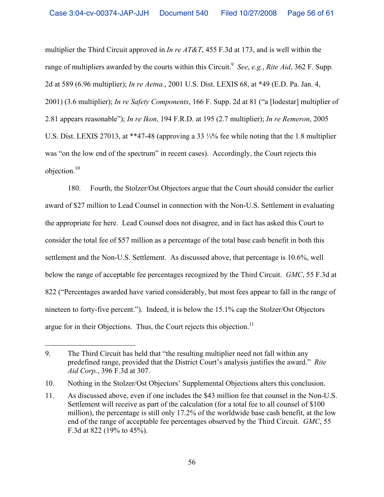multiplier the Third Circuit approved in *In re AT&T*, 455 F.3d at 173, and is well within the range of multipliers awarded by the courts within this Circuit.<sup>9</sup> See, e.g., Rite Aid, 362 F. Supp. 2d at 589 (6.96 multiplier); *In re Aetna.*, 2001 U.S. Dist. LEXIS 68, at \*49 (E.D. Pa. Jan. 4, 2001) (3.6 multiplier); *In re Safety Components*, 166 F. Supp. 2d at 81 ("a [lodestar] multiplier of 2.81 appears reasonable"); *In re Ikon*, 194 F.R.D. at 195 (2.7 multiplier); *In re Remeron*, 2005 U.S. Dist. LEXIS 27013, at \*\*47-48 (approving a 33  $\frac{1}{3}$ % fee while noting that the 1.8 multiplier was "on the low end of the spectrum" in recent cases). Accordingly, the Court rejects this objection.10

180. Fourth, the Stolzer/Ost Objectors argue that the Court should consider the earlier award of \$27 million to Lead Counsel in connection with the Non-U.S. Settlement in evaluating the appropriate fee here. Lead Counsel does not disagree, and in fact has asked this Court to consider the total fee of \$57 million as a percentage of the total base cash benefit in both this settlement and the Non-U.S. Settlement. As discussed above, that percentage is 10.6%, well below the range of acceptable fee percentages recognized by the Third Circuit. *GMC*, 55 F.3d at 822 ("Percentages awarded have varied considerably, but most fees appear to fall in the range of nineteen to forty-five percent."). Indeed, it is below the 15.1% cap the Stolzer/Ost Objectors argue for in their Objections. Thus, the Court rejects this objection.<sup>11</sup>

 $\overline{a}$ 

<sup>9.</sup> The Third Circuit has held that "the resulting multiplier need not fall within any predefined range, provided that the District Court's analysis justifies the award." *Rite Aid Corp.*, 396 F.3d at 307.

<sup>10.</sup> Nothing in the Stolzer/Ost Objectors' Supplemental Objections alters this conclusion.

<sup>11.</sup> As discussed above, even if one includes the \$43 million fee that counsel in the Non-U.S. Settlement will receive as part of the calculation (for a total fee to all counsel of \$100 million), the percentage is still only 17.2% of the worldwide base cash benefit, at the low end of the range of acceptable fee percentages observed by the Third Circuit. *GMC*, 55 F.3d at 822 (19% to 45%).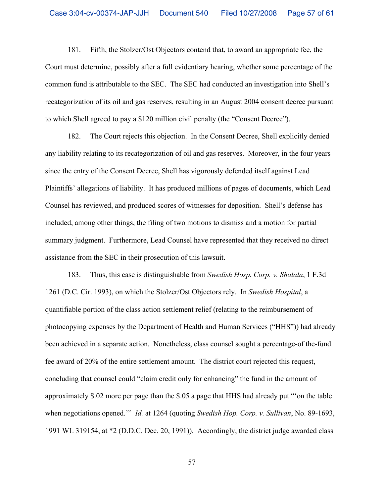181. Fifth, the Stolzer/Ost Objectors contend that, to award an appropriate fee, the Court must determine, possibly after a full evidentiary hearing, whether some percentage of the common fund is attributable to the SEC. The SEC had conducted an investigation into Shell's recategorization of its oil and gas reserves, resulting in an August 2004 consent decree pursuant to which Shell agreed to pay a \$120 million civil penalty (the "Consent Decree").

182. The Court rejects this objection. In the Consent Decree, Shell explicitly denied any liability relating to its recategorization of oil and gas reserves. Moreover, in the four years since the entry of the Consent Decree, Shell has vigorously defended itself against Lead Plaintiffs' allegations of liability. It has produced millions of pages of documents, which Lead Counsel has reviewed, and produced scores of witnesses for deposition. Shell's defense has included, among other things, the filing of two motions to dismiss and a motion for partial summary judgment. Furthermore, Lead Counsel have represented that they received no direct assistance from the SEC in their prosecution of this lawsuit.

183. Thus, this case is distinguishable from *Swedish Hosp. Corp. v. Shalala*, 1 F.3d 1261 (D.C. Cir. 1993), on which the Stolzer/Ost Objectors rely. In *Swedish Hospital*, a quantifiable portion of the class action settlement relief (relating to the reimbursement of photocopying expenses by the Department of Health and Human Services ("HHS")) had already been achieved in a separate action. Nonetheless, class counsel sought a percentage-of the-fund fee award of 20% of the entire settlement amount. The district court rejected this request, concluding that counsel could "claim credit only for enhancing" the fund in the amount of approximately \$.02 more per page than the \$.05 a page that HHS had already put "'on the table when negotiations opened.'" *Id.* at 1264 (quoting *Swedish Hop. Corp. v. Sullivan*, No. 89-1693, 1991 WL 319154, at \*2 (D.D.C. Dec. 20, 1991)). Accordingly, the district judge awarded class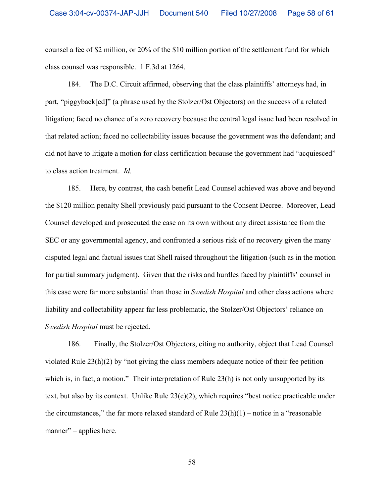counsel a fee of \$2 million, or 20% of the \$10 million portion of the settlement fund for which class counsel was responsible. 1 F.3d at 1264.

184. The D.C. Circuit affirmed, observing that the class plaintiffs' attorneys had, in part, "piggyback[ed]" (a phrase used by the Stolzer/Ost Objectors) on the success of a related litigation; faced no chance of a zero recovery because the central legal issue had been resolved in that related action; faced no collectability issues because the government was the defendant; and did not have to litigate a motion for class certification because the government had "acquiesced" to class action treatment. *Id.*

185. Here, by contrast, the cash benefit Lead Counsel achieved was above and beyond the \$120 million penalty Shell previously paid pursuant to the Consent Decree. Moreover, Lead Counsel developed and prosecuted the case on its own without any direct assistance from the SEC or any governmental agency, and confronted a serious risk of no recovery given the many disputed legal and factual issues that Shell raised throughout the litigation (such as in the motion for partial summary judgment). Given that the risks and hurdles faced by plaintiffs' counsel in this case were far more substantial than those in *Swedish Hospital* and other class actions where liability and collectability appear far less problematic, the Stolzer/Ost Objectors' reliance on *Swedish Hospital* must be rejected.

186. Finally, the Stolzer/Ost Objectors, citing no authority, object that Lead Counsel violated Rule  $23(h)(2)$  by "not giving the class members adequate notice of their fee petition which is, in fact, a motion." Their interpretation of Rule 23(h) is not only unsupported by its text, but also by its context. Unlike Rule  $23(c)(2)$ , which requires "best notice practicable under the circumstances," the far more relaxed standard of Rule  $23(h)(1)$  – notice in a "reasonable" manner" – applies here.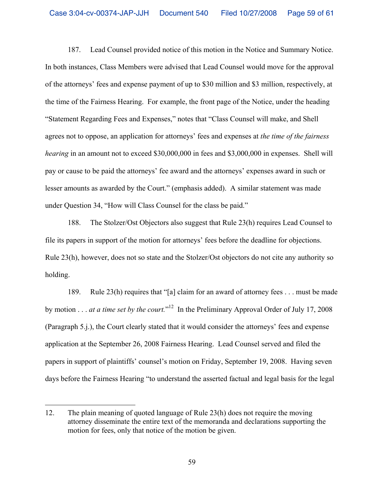187. Lead Counsel provided notice of this motion in the Notice and Summary Notice. In both instances, Class Members were advised that Lead Counsel would move for the approval of the attorneys' fees and expense payment of up to \$30 million and \$3 million, respectively, at the time of the Fairness Hearing. For example, the front page of the Notice, under the heading "Statement Regarding Fees and Expenses," notes that "Class Counsel will make, and Shell agrees not to oppose, an application for attorneys' fees and expenses at *the time of the fairness hearing* in an amount not to exceed \$30,000,000 in fees and \$3,000,000 in expenses. Shell will pay or cause to be paid the attorneys' fee award and the attorneys' expenses award in such or lesser amounts as awarded by the Court." (emphasis added). A similar statement was made under Question 34, "How will Class Counsel for the class be paid."

188. The Stolzer/Ost Objectors also suggest that Rule 23(h) requires Lead Counsel to file its papers in support of the motion for attorneys' fees before the deadline for objections. Rule 23(h), however, does not so state and the Stolzer/Ost objectors do not cite any authority so holding.

189. Rule 23(h) requires that "[a] claim for an award of attorney fees . . . must be made by motion . . . *at a time set by the court*.<sup>"12</sup> In the Preliminary Approval Order of July 17, 2008 (Paragraph 5.j.), the Court clearly stated that it would consider the attorneys' fees and expense application at the September 26, 2008 Fairness Hearing. Lead Counsel served and filed the papers in support of plaintiffs' counsel's motion on Friday, September 19, 2008. Having seven days before the Fairness Hearing "to understand the asserted factual and legal basis for the legal

<sup>12.</sup> The plain meaning of quoted language of Rule 23(h) does not require the moving attorney disseminate the entire text of the memoranda and declarations supporting the motion for fees, only that notice of the motion be given.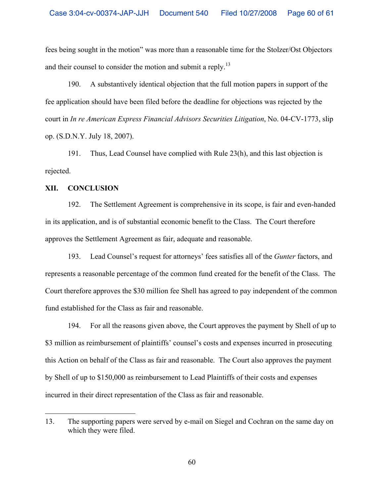fees being sought in the motion" was more than a reasonable time for the Stolzer/Ost Objectors and their counsel to consider the motion and submit a reply.<sup>13</sup>

190. A substantively identical objection that the full motion papers in support of the fee application should have been filed before the deadline for objections was rejected by the court in *In re American Express Financial Advisors Securities Litigation*, No. 04-CV-1773, slip op. (S.D.N.Y. July 18, 2007).

191. Thus, Lead Counsel have complied with Rule 23(h), and this last objection is rejected.

### **XII. CONCLUSION**

1

192. The Settlement Agreement is comprehensive in its scope, is fair and even-handed in its application, and is of substantial economic benefit to the Class. The Court therefore approves the Settlement Agreement as fair, adequate and reasonable.

193. Lead Counsel's request for attorneys' fees satisfies all of the *Gunter* factors, and represents a reasonable percentage of the common fund created for the benefit of the Class. The Court therefore approves the \$30 million fee Shell has agreed to pay independent of the common fund established for the Class as fair and reasonable.

194. For all the reasons given above, the Court approves the payment by Shell of up to \$3 million as reimbursement of plaintiffs' counsel's costs and expenses incurred in prosecuting this Action on behalf of the Class as fair and reasonable. The Court also approves the payment by Shell of up to \$150,000 as reimbursement to Lead Plaintiffs of their costs and expenses incurred in their direct representation of the Class as fair and reasonable.

<sup>13.</sup> The supporting papers were served by e-mail on Siegel and Cochran on the same day on which they were filed.